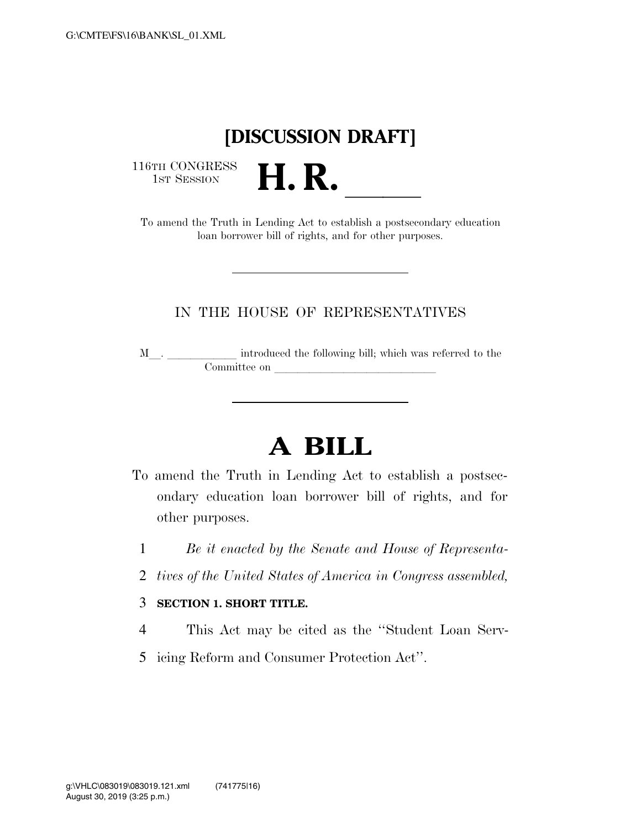## **[DISCUSSION DRAFT]**

116TH CONGRESS<br>1st Session

16TH CONGRESS<br>
1ST SESSION<br>
To amend the Truth in Lending Act to establish a postsecondary education loan borrower bill of rights, and for other purposes.

## IN THE HOUSE OF REPRESENTATIVES

M  $\hfill\blacksquare$  <br> . <br> <br> <br> <br> <br> <br> <br> <br> <br> introduced the following bill; which was referred to the Committee on later and later the committee on later and later than  $\sim$ 

## **A BILL**

- To amend the Truth in Lending Act to establish a postsecondary education loan borrower bill of rights, and for other purposes.
	- 1 *Be it enacted by the Senate and House of Representa-*
	- 2 *tives of the United States of America in Congress assembled,*

## 3 **SECTION 1. SHORT TITLE.**

- 4 This Act may be cited as the ''Student Loan Serv-
- 5 icing Reform and Consumer Protection Act''.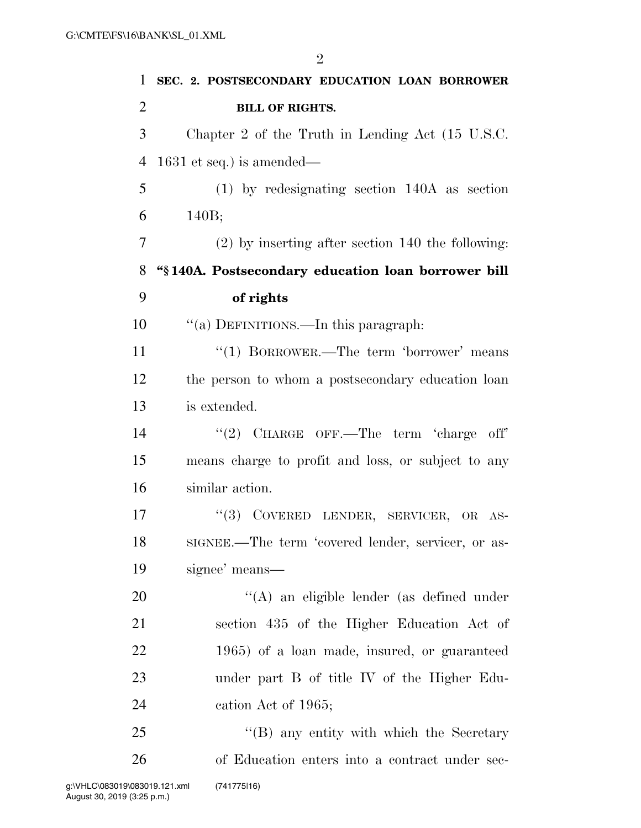| 1              | SEC. 2. POSTSECONDARY EDUCATION LOAN BORROWER               |
|----------------|-------------------------------------------------------------|
| $\overline{2}$ | <b>BILL OF RIGHTS.</b>                                      |
| 3              | Chapter 2 of the Truth in Lending Act $(15 \text{ U.S.C.})$ |
| $\overline{4}$ | $1631$ et seq.) is amended—                                 |
| 5              | $(1)$ by redesignating section 140A as section              |
| 6              | 140B;                                                       |
| 7              | $(2)$ by inserting after section 140 the following:         |
| 8              | "§140A. Postsecondary education loan borrower bill          |
| 9              | of rights                                                   |
| 10             | "(a) DEFINITIONS.—In this paragraph:                        |
| 11             | "(1) BORROWER.—The term 'borrower' means                    |
| 12             | the person to whom a postsecondary education loan           |
| 13             | is extended.                                                |
| 14             | "(2) CHARGE OFF.—The term 'charge off'                      |
| 15             | means charge to profit and loss, or subject to any          |
| 16             | similar action.                                             |
| 17             | (3)<br>COVERED LENDER, SERVICER, OR AS-                     |
| 18             | SIGNEE.—The term 'covered lender, servicer, or as-          |
| 19             | signee' means—                                              |
| 20             | $\lq\lq$ an eligible lender (as defined under               |
| 21             | section 435 of the Higher Education Act of                  |
| 22             | 1965) of a loan made, insured, or guaranteed                |
| 23             | under part B of title IV of the Higher Edu-                 |
| 24             | cation Act of 1965;                                         |
| 25             | $\cdot$ (B) any entity with which the Secretary             |
| 26             | of Education enters into a contract under sec-              |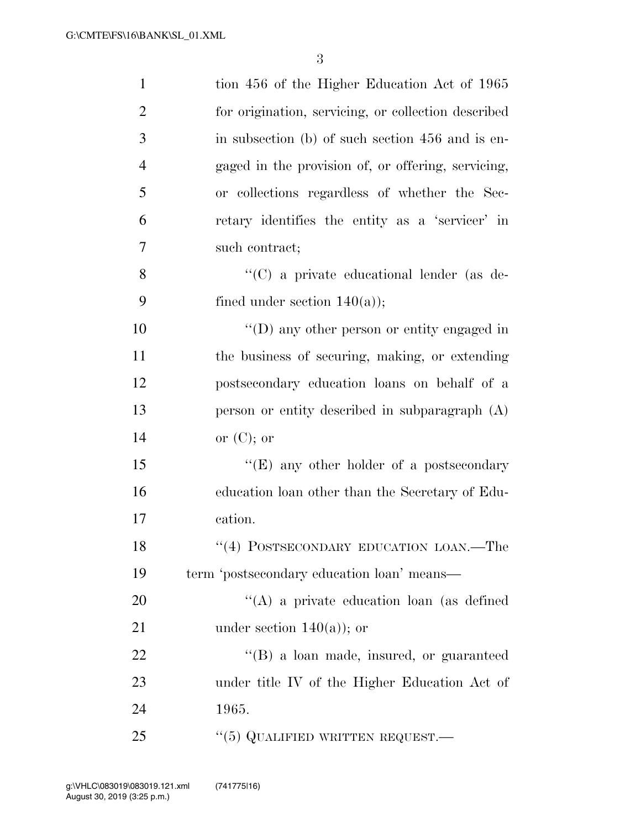| $\mathbf{1}$   | tion 456 of the Higher Education Act of 1965        |
|----------------|-----------------------------------------------------|
| $\overline{2}$ | for origination, servicing, or collection described |
| 3              | in subsection (b) of such section 456 and is en-    |
| $\overline{4}$ | gaged in the provision of, or offering, servicing,  |
| 5              | or collections regardless of whether the Sec-       |
| 6              | retary identifies the entity as a 'servicer' in     |
| 7              | such contract;                                      |
| 8              | "(C) a private educational lender (as de-           |
| 9              | fined under section $140(a)$ ;                      |
| 10             | $\lq\lq$ (D) any other person or entity engaged in  |
| 11             | the business of securing, making, or extending      |
| 12             | postsecondary education loans on behalf of a        |
| 13             | person or entity described in subparagraph $(A)$    |
| 14             | or $(C)$ ; or                                       |
| 15             | "(E) any other holder of a postsecondary            |
| 16             | education loan other than the Secretary of Edu-     |
| 17             | cation.                                             |
| 18             | $``(4)$ POSTSECONDARY EDUCATION LOAN.—The           |
| 19             | term 'postsecondary education loan' means—          |
| 20             | "(A) a private education loan (as defined           |
| 21             | under section $140(a)$ ; or                         |
| 22             | "(B) a loan made, insured, or guaranteed            |
| 23             | under title IV of the Higher Education Act of       |
| 24             | 1965.                                               |
| 25             | "(5) QUALIFIED WRITTEN REQUEST.—                    |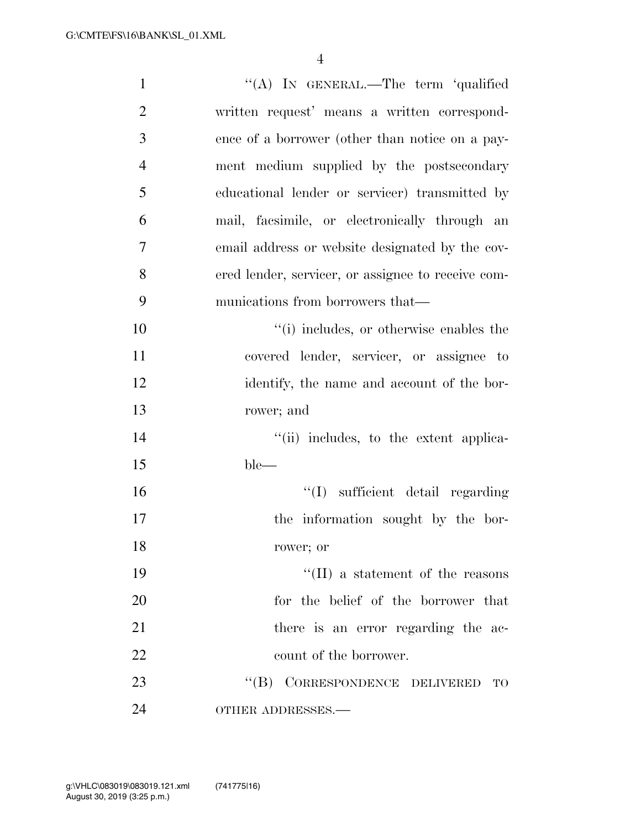| $\mathbf{1}$   | "(A) IN GENERAL.—The term 'qualified               |
|----------------|----------------------------------------------------|
| $\overline{2}$ | written request' means a written correspond-       |
| 3              | ence of a borrower (other than notice on a pay-    |
| $\overline{4}$ | ment medium supplied by the postsecondary          |
| 5              | educational lender or servicer) transmitted by     |
| 6              | mail, facsimile, or electronically through an      |
| 7              | email address or website designated by the cov-    |
| 8              | ered lender, servicer, or assignee to receive com- |
| 9              | munications from borrowers that—                   |
| 10             | "(i) includes, or otherwise enables the            |
| 11             | covered lender, servicer, or assignee to           |
| 12             | identify, the name and account of the bor-         |
| 13             | rower; and                                         |
| 14             | "(ii) includes, to the extent applica-             |
| 15             | $ble-$                                             |
| 16             | "(I) sufficient detail regarding                   |
| 17             | the information sought by the bor-                 |
| 18             | rower; or                                          |
| 19             | $\lq\lq$ (II) a statement of the reasons           |
| 20             | for the belief of the borrower that                |
| 21             | there is an error regarding the ac-                |
| 22             | count of the borrower.                             |
| 23             | "(B) CORRESPONDENCE DELIVERED<br><b>TO</b>         |
| 24             | OTHER ADDRESSES.-                                  |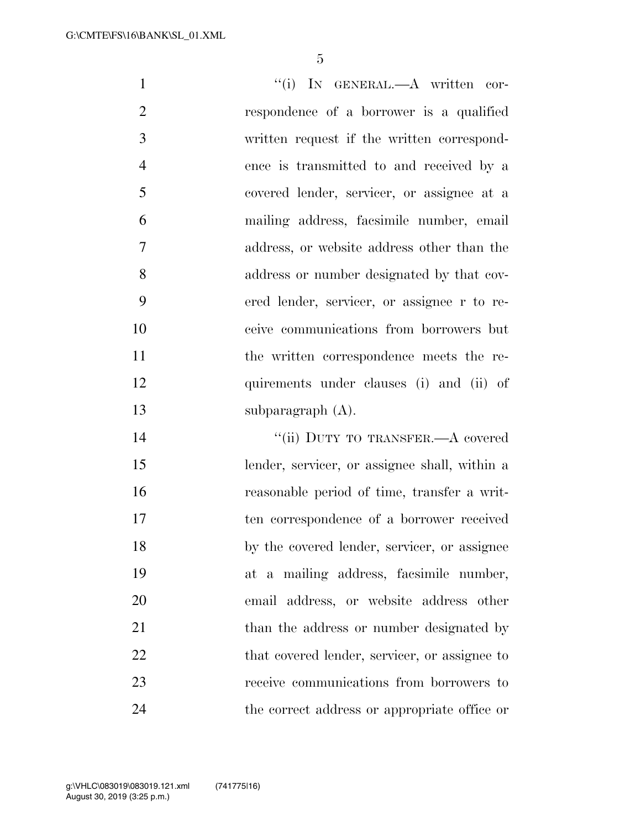| $\mathbf{1}$   | "(i) IN GENERAL.—A written cor-               |
|----------------|-----------------------------------------------|
| $\overline{2}$ | respondence of a borrower is a qualified      |
| 3              | written request if the written correspond-    |
| $\overline{4}$ | ence is transmitted to and received by a      |
| 5              | covered lender, servicer, or assignee at a    |
| 6              | mailing address, facsimile number, email      |
| $\overline{7}$ | address, or website address other than the    |
| 8              | address or number designated by that cov-     |
| 9              | ered lender, servicer, or assignee r to re-   |
| 10             | ceive communications from borrowers but       |
| 11             | the written correspondence meets the re-      |
| 12             | quirements under clauses (i) and (ii) of      |
| 13             | subparagraph $(A)$ .                          |
| 14             | "(ii) DUTY TO TRANSFER.—A covered             |
| 15             | lender, servicer, or assignee shall, within a |
| 16             | reasonable period of time, transfer a writ-   |
| 17             | ten correspondence of a borrower received     |
| 18             | by the covered lender, servicer, or assignee  |
| 19             | at a mailing address, facsimile number,       |
| 20             | email address, or website address other       |
| 21             | than the address or number designated by      |

22 that covered lender, servicer, or assignee to

receive communications from borrowers to

the correct address or appropriate office or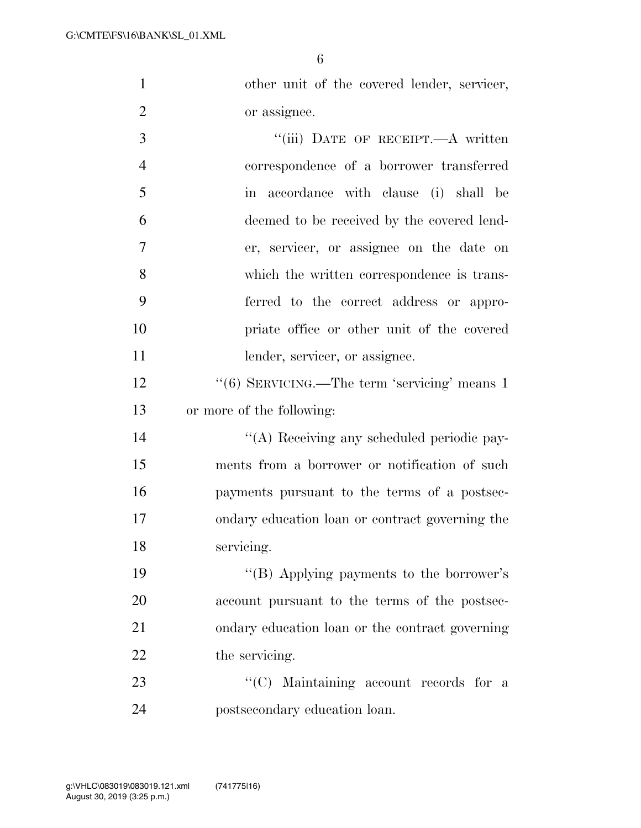1 other unit of the covered lender, servicer, or assignee.

3 "(iii) DATE OF RECEIPT.—A written correspondence of a borrower transferred in accordance with clause (i) shall be deemed to be received by the covered lend- er, servicer, or assignee on the date on which the written correspondence is trans- ferred to the correct address or appro- priate office or other unit of the covered 11 lender, servicer, or assignee.

12 ''(6) SERVICING.—The term 'servicing' means 1 or more of the following:

 ''(A) Receiving any scheduled periodic pay- ments from a borrower or notification of such payments pursuant to the terms of a postsec- ondary education loan or contract governing the servicing.

19 ''(B) Applying payments to the borrower's account pursuant to the terms of the postsec- ondary education loan or the contract governing 22 the servicing.

23 "'(C) Maintaining account records for a postsecondary education loan.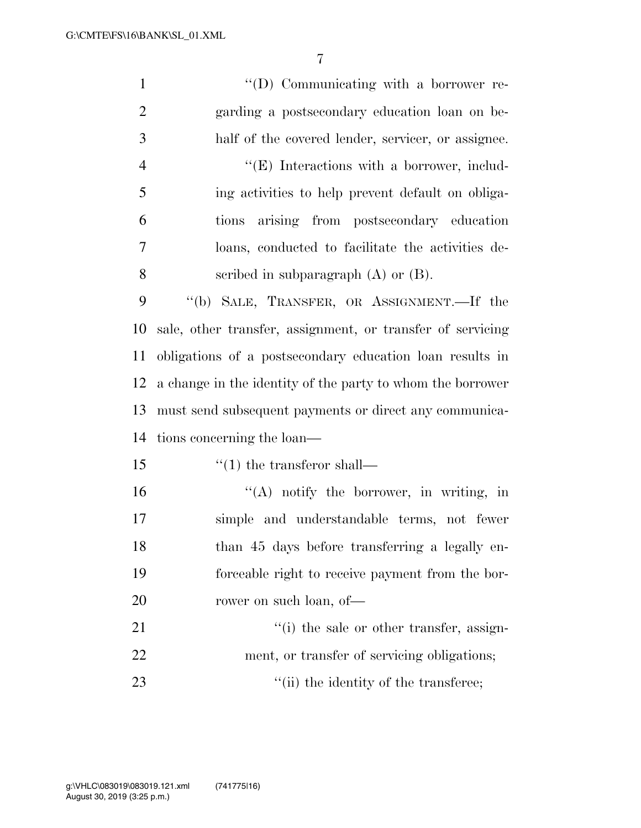| $\mathbf{1}$   | "(D) Communicating with a borrower re-                     |
|----------------|------------------------------------------------------------|
| $\overline{2}$ | garding a postsecondary education loan on be-              |
| 3              | half of the covered lender, servicer, or assignee.         |
| $\overline{4}$ | $\lq\lq(E)$ Interactions with a borrower, includ-          |
| 5              | ing activities to help prevent default on obliga-          |
| 6              | arising from postsecondary education<br>tions              |
| 7              | loans, conducted to facilitate the activities de-          |
| 8              | scribed in subparagraph $(A)$ or $(B)$ .                   |
| 9              | "(b) SALE, TRANSFER, OR ASSIGNMENT.—If the                 |
| 10             | sale, other transfer, assignment, or transfer of servicing |
| 11             | obligations of a postsecondary education loan results in   |
| 12             | a change in the identity of the party to whom the borrower |
| 13             | must send subsequent payments or direct any communica-     |
| 14             | tions concerning the loan—                                 |
| 15             | $\lq(1)$ the transferor shall—                             |
| 16             | "(A) notify the borrower, in writing, in                   |
| 17             | simple and understandable terms, not fewer                 |
| 18             | than 45 days before transferring a legally en-             |
| 19             | forceable right to receive payment from the bor-           |
| 20             | rower on such loan, of-                                    |
| 21             | "(i) the sale or other transfer, assign-                   |
| 22             | ment, or transfer of servicing obligations;                |
| 23             | "(ii) the identity of the transferee;                      |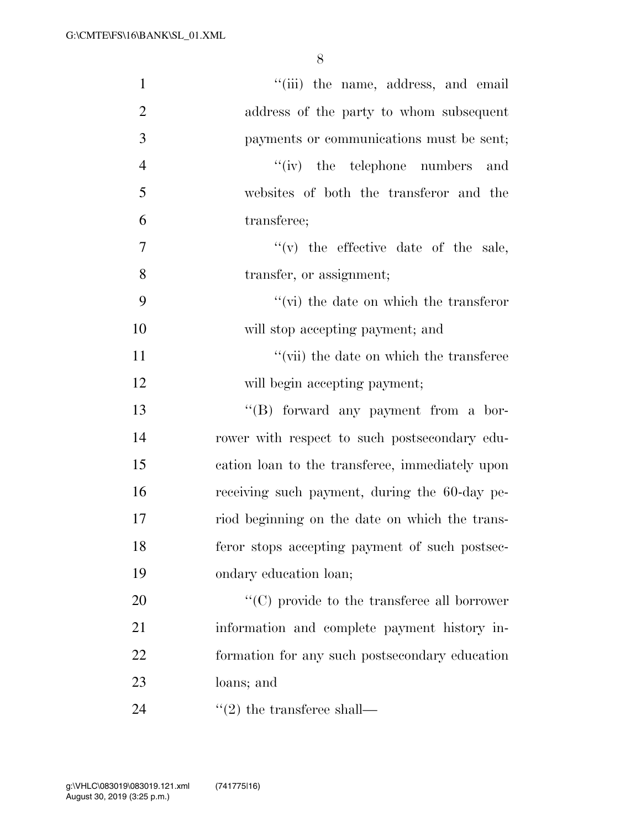| $\mathbf{1}$   | "(iii) the name, address, and email                 |
|----------------|-----------------------------------------------------|
| $\overline{2}$ | address of the party to whom subsequent             |
| $\mathfrak{Z}$ | payments or communications must be sent;            |
| $\overline{4}$ | $f'(iv)$ the telephone numbers and                  |
| 5              | websites of both the transferor and the             |
| 6              | transferee;                                         |
| 7              | $f'(v)$ the effective date of the sale,             |
| 8              | transfer, or assignment;                            |
| 9              | $\lq\lq$ (vi) the date on which the transferor      |
| 10             | will stop accepting payment; and                    |
| 11             | "(vii) the date on which the transferee             |
| 12             | will begin accepting payment;                       |
| 13             | "(B) forward any payment from a bor-                |
| 14             | rower with respect to such postsecondary edu-       |
| 15             | cation loan to the transferee, immediately upon     |
| 16             | receiving such payment, during the 60-day pe-       |
| 17             | riod beginning on the date on which the trans-      |
| 18             | feror stops accepting payment of such postsec-      |
| 19             | ondary education loan;                              |
| 20             | $\lq\lq$ (C) provide to the transferee all borrower |
| 21             | information and complete payment history in-        |
| 22             | formation for any such postsecondary education      |
| 23             | loans; and                                          |
| 24             | $\cdot\cdot(2)$ the transferee shall—               |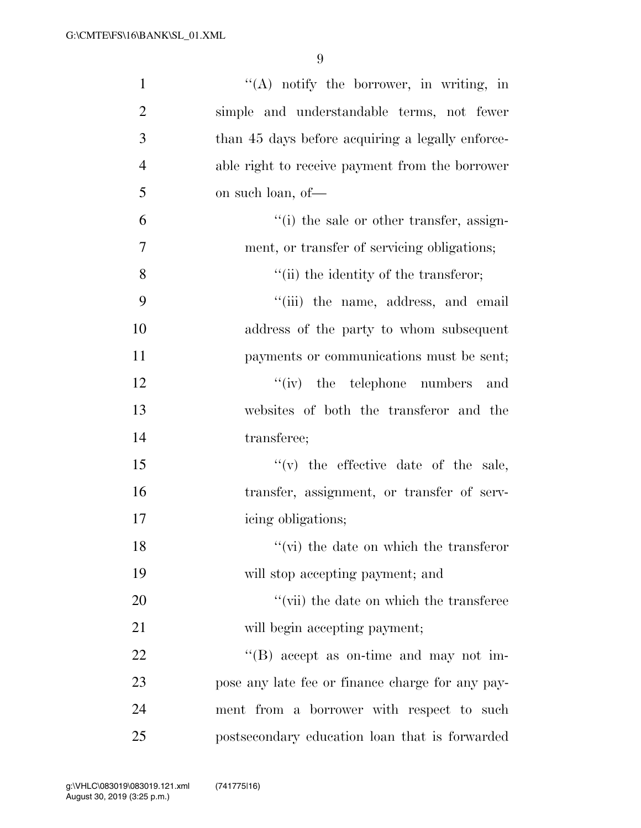| $\mathbf{1}$   | $\lq($ A) notify the borrower, in writing, in    |
|----------------|--------------------------------------------------|
| $\overline{2}$ | simple and understandable terms, not fewer       |
| 3              | than 45 days before acquiring a legally enforce- |
| $\overline{4}$ | able right to receive payment from the borrower  |
| 5              | on such loan, of—                                |
| 6              | "(i) the sale or other transfer, assign-         |
| $\overline{7}$ | ment, or transfer of servicing obligations;      |
| 8              | "(ii) the identity of the transferor;            |
| 9              | "(iii) the name, address, and email              |
| 10             | address of the party to whom subsequent          |
| 11             | payments or communications must be sent;         |
| 12             | $f'(iv)$ the telephone numbers and               |
| 13             | websites of both the transferor and the          |
| 14             | transferee;                                      |
| 15             | $f'(v)$ the effective date of the sale,          |
| 16             | transfer, assignment, or transfer of serv-       |
| 17             | icing obligations;                               |
| 18             | $\lq\lq$ (vi) the date on which the transferor   |
| 19             | will stop accepting payment; and                 |
| 20             | "(vii) the date on which the transferee          |
| 21             | will begin accepting payment;                    |
| 22             | $\lq\lq (B)$ accept as on-time and may not im-   |
| 23             | pose any late fee or finance charge for any pay- |
| 24             | ment from a borrower with respect to such        |
| 25             | postsecondary education loan that is forwarded   |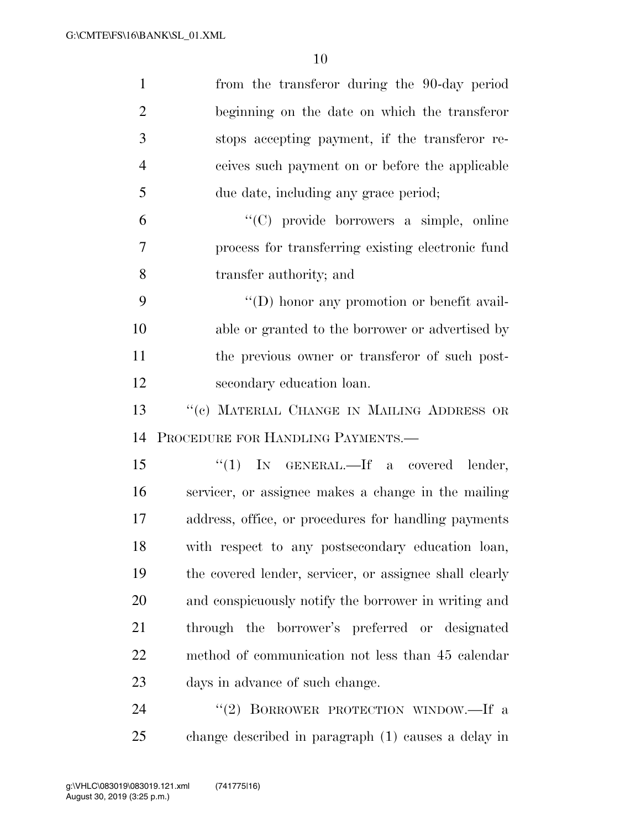| $\mathbf{1}$   | from the transferor during the 90-day period            |
|----------------|---------------------------------------------------------|
| $\overline{2}$ | beginning on the date on which the transferor           |
| 3              | stops accepting payment, if the transferor re-          |
| $\overline{4}$ | ceives such payment on or before the applicable         |
| 5              | due date, including any grace period;                   |
| 6              | "(C) provide borrowers a simple, online                 |
| 7              | process for transferring existing electronic fund       |
| 8              | transfer authority; and                                 |
| 9              | "(D) honor any promotion or benefit avail-              |
| 10             | able or granted to the borrower or advertised by        |
| 11             | the previous owner or transferor of such post-          |
| 12             | secondary education loan.                               |
| 13             | "(c) MATERIAL CHANGE IN MAILING ADDRESS OR              |
| 14             | PROCEDURE FOR HANDLING PAYMENTS.                        |
|                |                                                         |
| 15             | "(1) IN GENERAL.—If a covered lender,                   |
| 16             | servicer, or assignee makes a change in the mailing     |
| 17             | address, office, or procedures for handling payments    |
| 18             | with respect to any postsecondary education loan,       |
| 19             | the covered lender, servicer, or assignee shall clearly |
| 20             | and conspicuously notify the borrower in writing and    |
| 21             | through the borrower's preferred or designated          |
| 22             | method of communication not less than 45 calendar       |
| 23             | days in advance of such change.                         |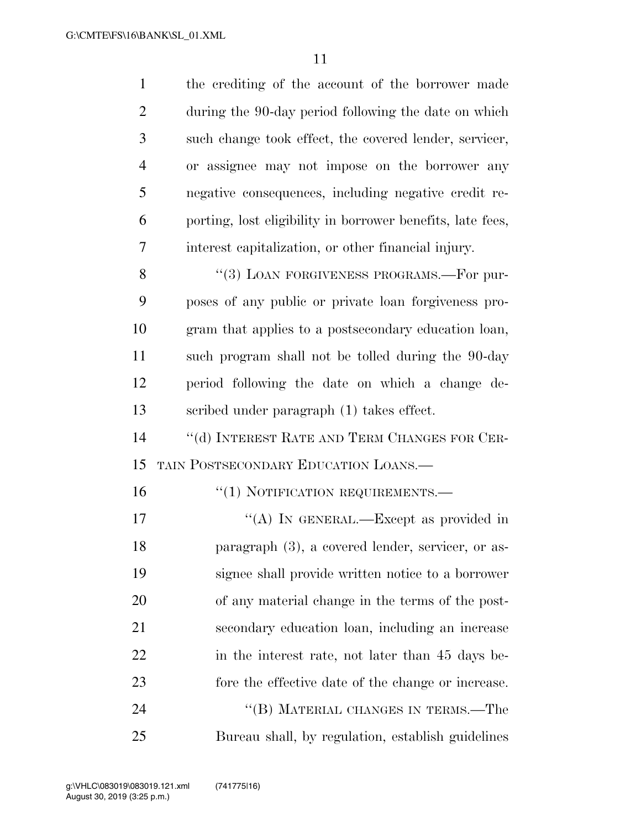| $\mathbf{1}$   | the crediting of the account of the borrower made          |
|----------------|------------------------------------------------------------|
| $\overline{2}$ | during the 90-day period following the date on which       |
| 3              | such change took effect, the covered lender, servicer,     |
| 4              | or assignee may not impose on the borrower any             |
| 5              | negative consequences, including negative credit re-       |
| 6              | porting, lost eligibility in borrower benefits, late fees, |
| 7              | interest capitalization, or other financial injury.        |
| 8              | "(3) LOAN FORGIVENESS PROGRAMS.—For pur-                   |
| 9              | poses of any public or private loan forgiveness pro-       |
| 10             | gram that applies to a postsecondary education loan,       |
| 11             | such program shall not be tolled during the 90-day         |
| 12             | period following the date on which a change de-            |
| 13             | scribed under paragraph (1) takes effect.                  |
| 14             | "(d) INTEREST RATE AND TERM CHANGES FOR CER-               |
| 15             | TAIN POSTSECONDARY EDUCATION LOANS.                        |
| 16             | "(1) NOTIFICATION REQUIREMENTS.-                           |
| 17             | "(A) IN GENERAL.—Except as provided in                     |
| 18             | paragraph (3), a covered lender, servicer, or as-          |
| 19             | signee shall provide written notice to a borrower          |
| 20             | of any material change in the terms of the post-           |
| 21             | secondary education loan, including an increase            |
| 22             | in the interest rate, not later than 45 days be-           |
| 23             | fore the effective date of the change or increase.         |
| 24             | "(B) MATERIAL CHANGES IN TERMS.—The                        |
| 25             | Bureau shall, by regulation, establish guidelines          |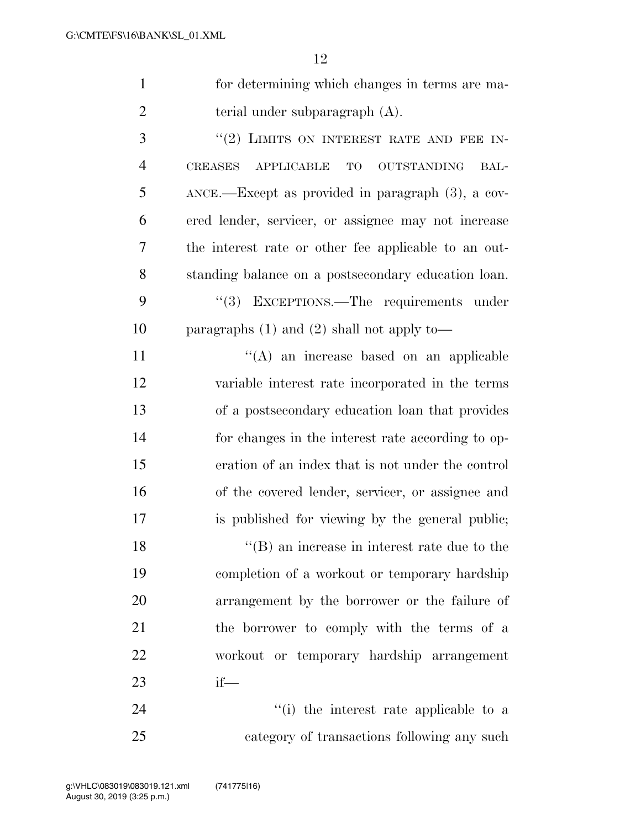| 12                                                                      |
|-------------------------------------------------------------------------|
| for determining which changes in terms are ma-                          |
| terial under subparagraph $(A)$ .                                       |
| "(2) LIMITS ON INTEREST RATE AND FEE IN-                                |
| <b>CREASES</b><br><b>APPLICABLE</b><br><b>OUTSTANDING</b><br>TO<br>BAL- |
| ANCE.—Except as provided in paragraph (3), a cov-                       |
| ered lender, servicer, or assignee may not increase                     |
| the interest rate or other fee applicable to an out-                    |
| standing balance on a postsecondary education loan.                     |
| "(3) EXCEPTIONS.—The requirements under                                 |
| paragraphs $(1)$ and $(2)$ shall not apply to-                          |
| $\lq\lq$ an increase based on an applicable                             |
| variable interest rate incorporated in the terms                        |
| of a postsecondary education loan that provides                         |
| for changes in the interest rate according to op-                       |
| eration of an index that is not under the control                       |
| of the covered lender, servicer, or assignee and                        |
|                                                                         |

18 ''(B) an increase in interest rate due to the completion of a workout or temporary hardship arrangement by the borrower or the failure of the borrower to comply with the terms of a workout or temporary hardship arrangement if—

is published for viewing by the general public;

24 ''(i) the interest rate applicable to a category of transactions following any such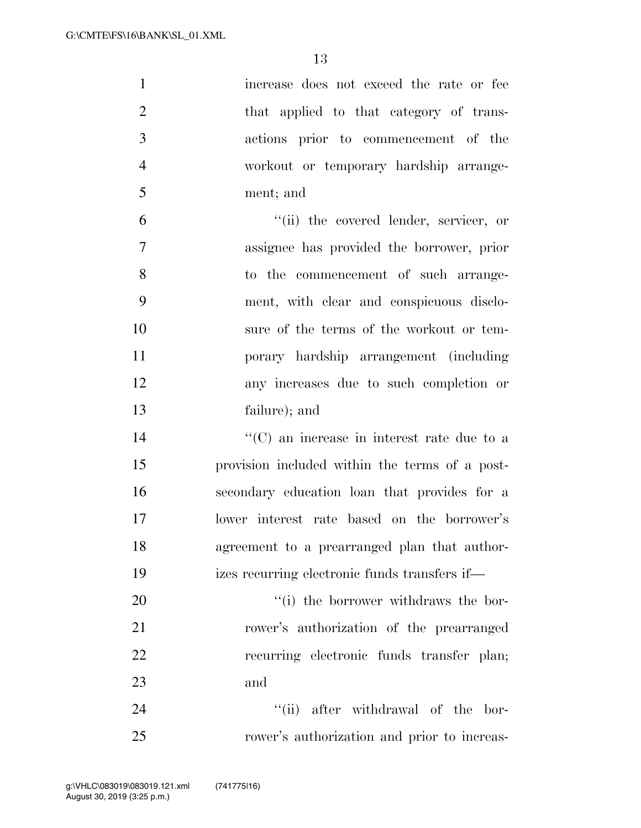| $\mathbf 1$    | increase does not exceed the rate or fee           |
|----------------|----------------------------------------------------|
| $\overline{2}$ | that applied to that category of trans-            |
| 3              | actions prior to commencement of the               |
| $\overline{4}$ | workout or temporary hardship arrange-             |
| 5              | ment; and                                          |
| 6              | "(ii) the covered lender, servicer, or             |
| $\tau$         | assignee has provided the borrower, prior          |
| 8              | to the commencement of such arrange-               |
| 9              | ment, with clear and conspicuous disclo-           |
| 10             | sure of the terms of the workout or tem-           |
| 11             | porary hardship arrangement (including             |
| 12             | any increases due to such completion or            |
| 13             | failure); and                                      |
| 14             | $\lq\lq$ (C) an increase in interest rate due to a |
| 15             | provision included within the terms of a post-     |
| 16             | secondary education loan that provides for a       |
| 17             | lower interest rate based on the borrower's        |
| 18             | agreement to a prearranged plan that author-       |
| 19             | izes recurring electronic funds transfers if—      |
| 20             | "(i) the borrower withdraws the bor-               |
| 21             | rower's authorization of the prearranged           |
| 22             | recurring electronic funds transfer plan;          |
| 23             | and                                                |
| 24             | "(ii) after withdrawal of the bor-                 |
| 25             | rower's authorization and prior to increas-        |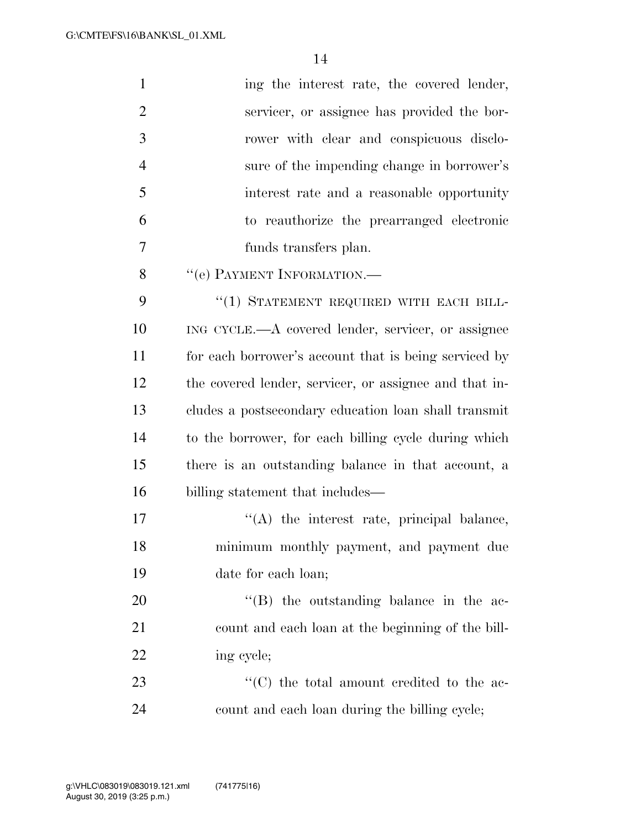| $\mathbf{1}$   | ing the interest rate, the covered lender,             |
|----------------|--------------------------------------------------------|
| $\overline{2}$ | servicer, or assignee has provided the bor-            |
| 3              | rower with clear and conspicuous disclo-               |
| $\overline{4}$ | sure of the impending change in borrower's             |
| 5              | interest rate and a reasonable opportunity             |
| 6              | to reauthorize the prearranged electronic              |
| 7              | funds transfers plan.                                  |
| 8              | "(e) PAYMENT INFORMATION.-                             |
| 9              | "(1) STATEMENT REQUIRED WITH EACH BILL-                |
| 10             | ING CYCLE.—A covered lender, servicer, or assignee     |
| 11             | for each borrower's account that is being serviced by  |
| 12             | the covered lender, servicer, or assignee and that in- |
| 13             | cludes a postsecondary education loan shall transmit   |
| 14             | to the borrower, for each billing cycle during which   |
| 15             | there is an outstanding balance in that account, a     |
| 16             | billing statement that includes—                       |
| 17             | $\lq\lq$ the interest rate, principal balance,         |
| 18             | minimum monthly payment, and payment due               |
| 19             | date for each loan;                                    |
| 20             | "(B) the outstanding balance in the ac-                |
| 21             | count and each loan at the beginning of the bill-      |
| 22             | ing cycle;                                             |
| 23             | "(C) the total amount credited to the ac-              |
| 24             | count and each loan during the billing cycle;          |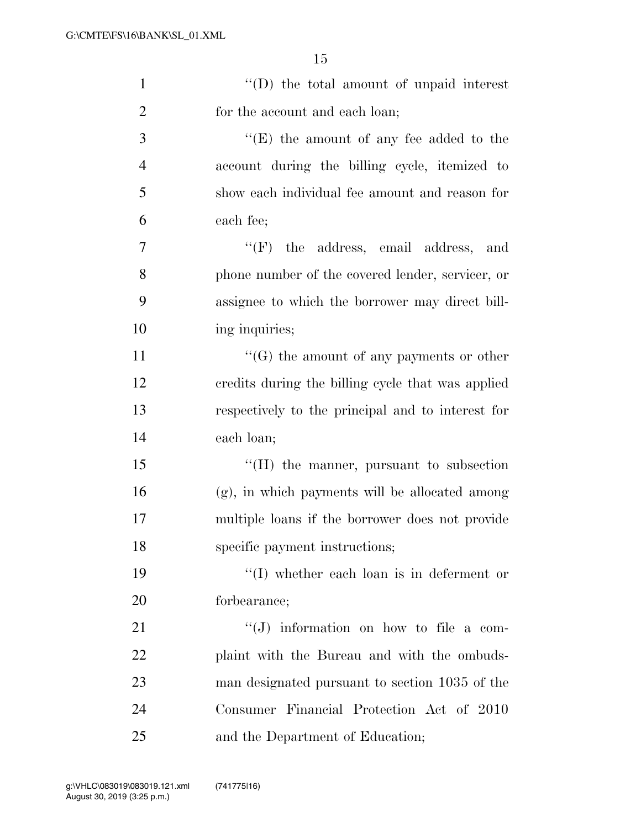| $\mathbf{1}$   | "(D) the total amount of unpaid interest          |
|----------------|---------------------------------------------------|
| $\overline{2}$ | for the account and each loan;                    |
| 3              | $\lq\lq(E)$ the amount of any fee added to the    |
| $\overline{4}$ | account during the billing cycle, itemized to     |
| 5              | show each individual fee amount and reason for    |
| 6              | each fee;                                         |
| 7              | $\lq\lq(F)$ the address, email address, and       |
| 8              | phone number of the covered lender, servicer, or  |
| 9              | assignee to which the borrower may direct bill-   |
| 10             | ing inquiries;                                    |
| 11             | $\lq\lq(G)$ the amount of any payments or other   |
| 12             | credits during the billing cycle that was applied |
| 13             | respectively to the principal and to interest for |
| 14             | each loan;                                        |
| 15             | $\lq\lq(H)$ the manner, pursuant to subsection    |
| 16             | $(g)$ , in which payments will be allocated among |
| 17             | multiple loans if the borrower does not provide   |
| 18             | specific payment instructions;                    |
| 19             | $\lq\lq$ whether each loan is in deferment or     |
| 20             | forbearance;                                      |
| 21             | $\lq\lq(J)$ information on how to file a com-     |
| 22             | plaint with the Bureau and with the ombuds-       |
| 23             | man designated pursuant to section 1035 of the    |
| 24             | Consumer Financial Protection Act of 2010         |
| 25             | and the Department of Education;                  |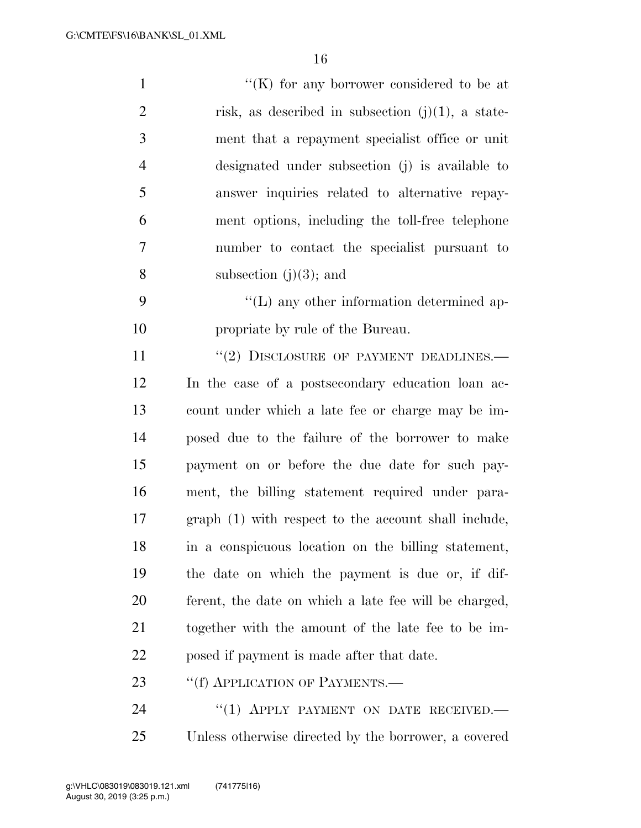| $\mathbf{1}$   | "(K) for any borrower considered to be at             |
|----------------|-------------------------------------------------------|
| $\overline{2}$ | risk, as described in subsection $(j)(1)$ , a state-  |
| 3              | ment that a repayment specialist office or unit       |
| $\overline{4}$ | designated under subsection (j) is available to       |
| 5              | answer inquiries related to alternative repay-        |
| 6              | ment options, including the toll-free telephone       |
| 7              | number to contact the specialist pursuant to          |
| 8              | subsection $(j)(3)$ ; and                             |
| 9              | $\lq\lq$ . The usual order information determined ap- |
| 10             | propriate by rule of the Bureau.                      |
| 11             | $``(2)$ DISCLOSURE OF PAYMENT DEADLINES.—             |
| 12             | In the case of a postsecondary education loan ac-     |
| 13             | count under which a late fee or charge may be im-     |
| 14             | posed due to the failure of the borrower to make      |
| 15             | payment on or before the due date for such pay-       |
| 16             | ment, the billing statement required under para-      |
| 17             | graph (1) with respect to the account shall include,  |
| 18             | in a conspicuous location on the billing statement,   |
| 19             | the date on which the payment is due or, if dif-      |
| 20             | ferent, the date on which a late fee will be charged, |
| 21             | together with the amount of the late fee to be im-    |
| 22             | posed if payment is made after that date.             |
| 23             | "(f) APPLICATION OF PAYMENTS.—                        |
| 24             | "(1) APPLY PAYMENT ON DATE RECEIVED.                  |
| 25             | Unless otherwise directed by the borrower, a covered  |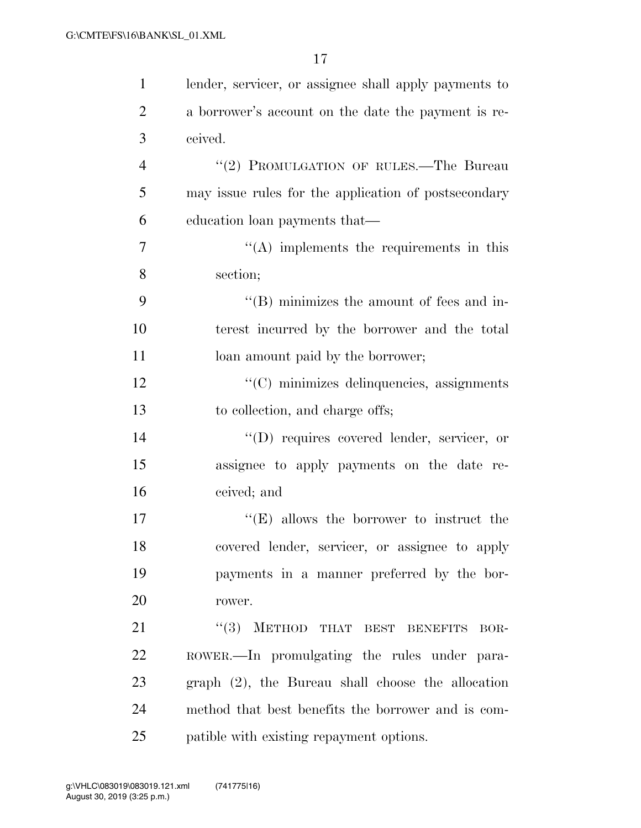| $\mathbf{1}$   | lender, servicer, or assignee shall apply payments to |
|----------------|-------------------------------------------------------|
| $\overline{2}$ | a borrower's account on the date the payment is re-   |
| 3              | ceived.                                               |
| $\overline{4}$ | "(2) PROMULGATION OF RULES.—The Bureau                |
| 5              | may issue rules for the application of postsecondary  |
| 6              | education loan payments that—                         |
| 7              | $\lq\lq$ implements the requirements in this          |
| 8              | section;                                              |
| 9              | $\lq\lq$ (B) minimizes the amount of fees and in-     |
| 10             | terest incurred by the borrower and the total         |
| 11             | loan amount paid by the borrower;                     |
| 12             | "(C) minimizes delinquencies, assignments             |
| 13             | to collection, and charge offs;                       |
| 14             | "(D) requires covered lender, servicer, or            |
| 15             | assignee to apply payments on the date re-            |
| 16             | ceived; and                                           |
| 17             | $f(E)$ allows the borrower to instruct the            |
| 18             | covered lender, servicer, or assignee to apply        |
| 19             | payments in a manner preferred by the bor-            |
| 20             | rower.                                                |
| 21             | "(3) METHOD THAT BEST BENEFITS<br>BOR-                |
| 22             | ROWER.—In promulgating the rules under para-          |
| 23             | $graph (2)$ , the Bureau shall choose the allocation  |
| 24             | method that best benefits the borrower and is com-    |
| 25             | patible with existing repayment options.              |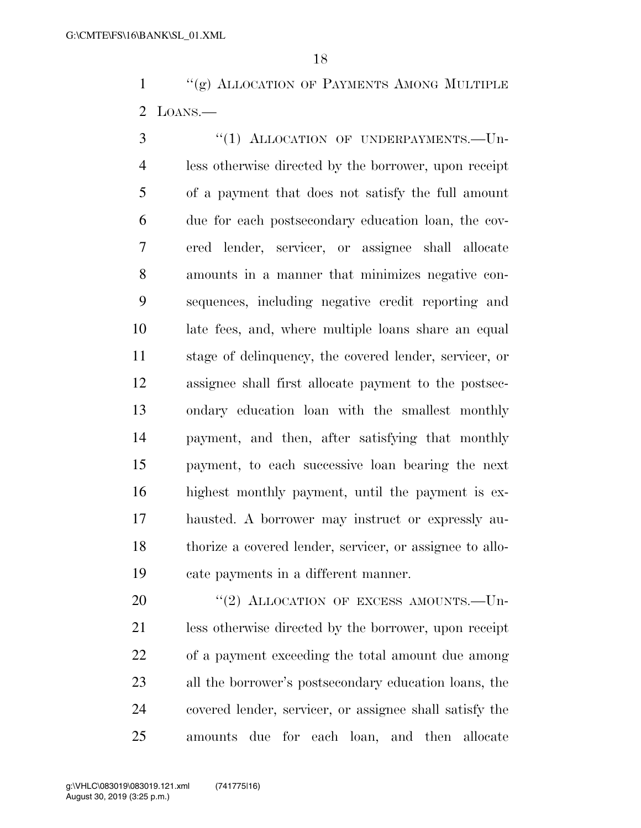1 ''(g) ALLOCATION OF PAYMENTS AMONG MULTIPLE LOANS.—

3 "(1) ALLOCATION OF UNDERPAYMENTS. - Un- less otherwise directed by the borrower, upon receipt of a payment that does not satisfy the full amount due for each postsecondary education loan, the cov- ered lender, servicer, or assignee shall allocate amounts in a manner that minimizes negative con- sequences, including negative credit reporting and late fees, and, where multiple loans share an equal stage of delinquency, the covered lender, servicer, or assignee shall first allocate payment to the postsec- ondary education loan with the smallest monthly payment, and then, after satisfying that monthly payment, to each successive loan bearing the next highest monthly payment, until the payment is ex- hausted. A borrower may instruct or expressly au- thorize a covered lender, servicer, or assignee to allo-cate payments in a different manner.

20 "(2) ALLOCATION OF EXCESS AMOUNTS. Un- less otherwise directed by the borrower, upon receipt of a payment exceeding the total amount due among all the borrower's postsecondary education loans, the covered lender, servicer, or assignee shall satisfy the amounts due for each loan, and then allocate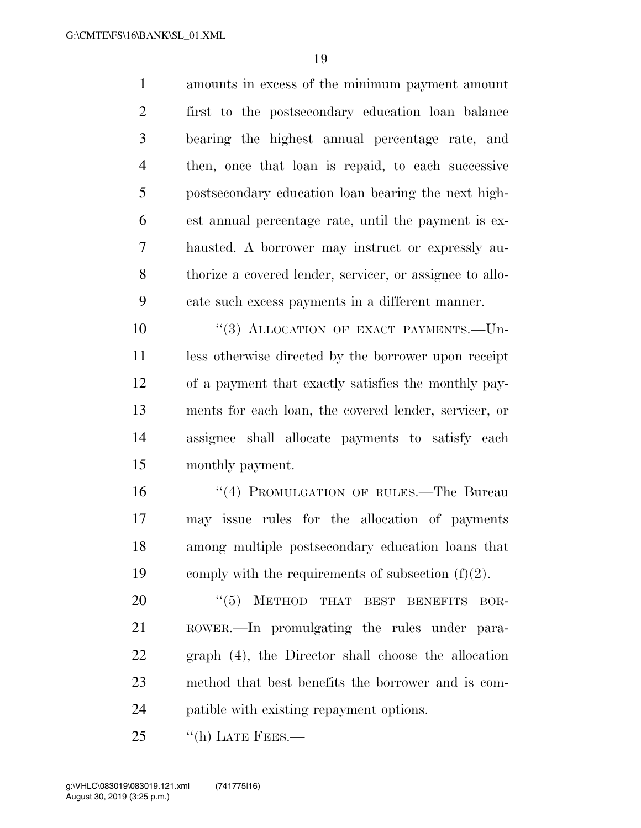amounts in excess of the minimum payment amount first to the postsecondary education loan balance bearing the highest annual percentage rate, and then, once that loan is repaid, to each successive postsecondary education loan bearing the next high- est annual percentage rate, until the payment is ex- hausted. A borrower may instruct or expressly au- thorize a covered lender, servicer, or assignee to allo-cate such excess payments in a different manner.

 $(3)$  ALLOCATION OF EXACT PAYMENTS. Un- less otherwise directed by the borrower upon receipt of a payment that exactly satisfies the monthly pay- ments for each loan, the covered lender, servicer, or assignee shall allocate payments to satisfy each monthly payment.

16 "(4) PROMULGATION OF RULES.—The Bureau may issue rules for the allocation of payments among multiple postsecondary education loans that 19 comply with the requirements of subsection  $(f)(2)$ .

20 "(5) METHOD THAT BEST BENEFITS BOR- ROWER.—In promulgating the rules under para- graph (4), the Director shall choose the allocation method that best benefits the borrower and is com-patible with existing repayment options.

25 "(h) LATE FEES.—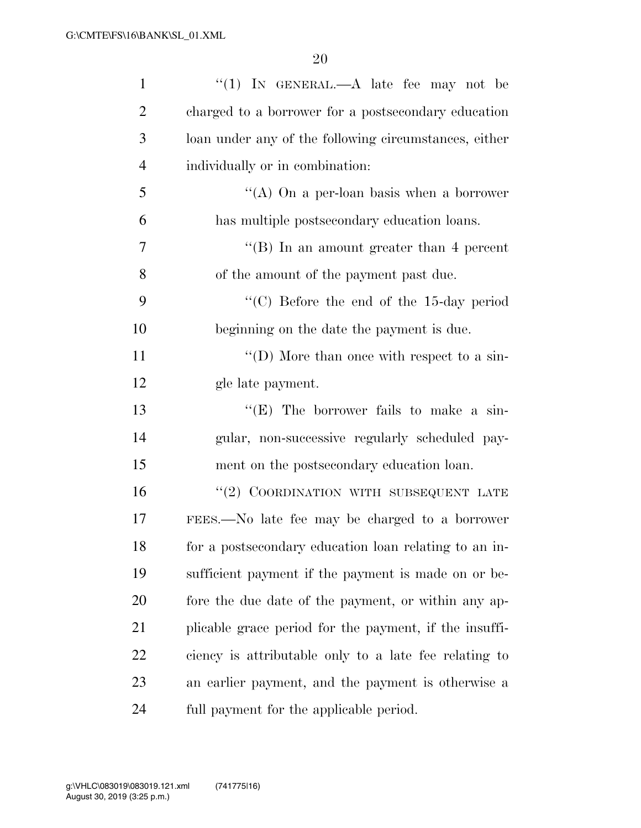| $\mathbf{1}$   | "(1) IN GENERAL.— $A$ late fee may not be              |
|----------------|--------------------------------------------------------|
| $\overline{2}$ | charged to a borrower for a postsecondary education    |
| 3              | loan under any of the following circumstances, either  |
| $\overline{4}$ | individually or in combination:                        |
| 5              | "(A) On a per-loan basis when a borrower               |
| 6              | has multiple postsecondary education loans.            |
| 7              | "(B) In an amount greater than 4 percent               |
| 8              | of the amount of the payment past due.                 |
| 9              | $\cdot$ (C) Before the end of the 15-day period        |
| 10             | beginning on the date the payment is due.              |
| 11             | "(D) More than once with respect to a sin-             |
| 12             | gle late payment.                                      |
| 13             | " $(E)$ The borrower fails to make a sin-              |
| 14             | gular, non-successive regularly scheduled pay-         |
| 15             | ment on the postsecondary education loan.              |
| 16             | "(2) COORDINATION WITH SUBSEQUENT LATE                 |
| 17             | FEES.—No late fee may be charged to a borrower         |
| 18             | for a postsecondary education loan relating to an in-  |
| 19             | sufficient payment if the payment is made on or be-    |
| 20             | fore the due date of the payment, or within any ap-    |
| 21             | plicable grace period for the payment, if the insuffi- |
| 22             | ciency is attributable only to a late fee relating to  |
| 23             | an earlier payment, and the payment is otherwise a     |
| 24             | full payment for the applicable period.                |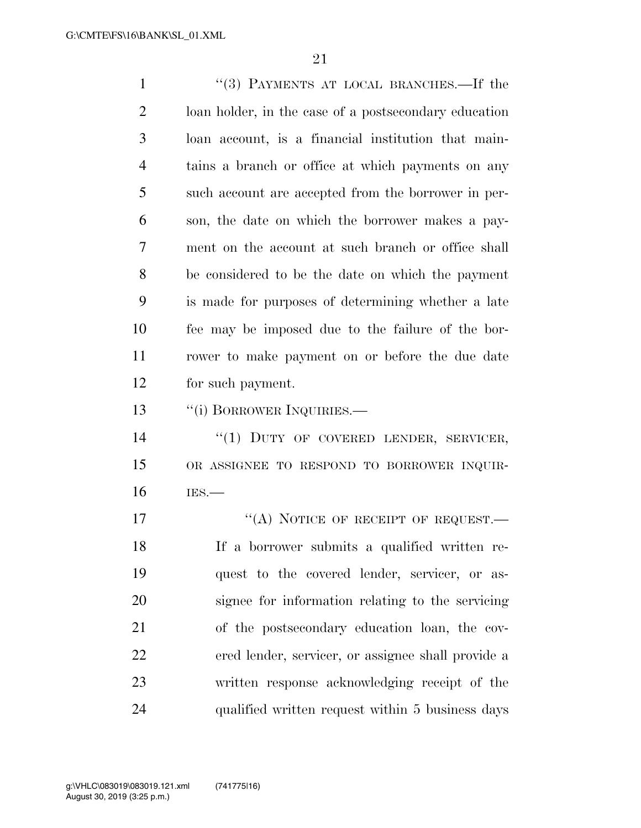''(3) PAYMENTS AT LOCAL BRANCHES.—If the loan holder, in the case of a postsecondary education loan account, is a financial institution that main- tains a branch or office at which payments on any such account are accepted from the borrower in per- son, the date on which the borrower makes a pay- ment on the account at such branch or office shall be considered to be the date on which the payment is made for purposes of determining whether a late fee may be imposed due to the failure of the bor- rower to make payment on or before the due date for such payment.

13 "(i) BORROWER INQUIRIES.—

14 "(1) DUTY OF COVERED LENDER, SERVICER, OR ASSIGNEE TO RESPOND TO BORROWER INQUIR-IES.—

17 "(A) NOTICE OF RECEIPT OF REQUEST.— If a borrower submits a qualified written re- quest to the covered lender, servicer, or as- signee for information relating to the servicing of the postsecondary education loan, the cov- ered lender, servicer, or assignee shall provide a written response acknowledging receipt of the qualified written request within 5 business days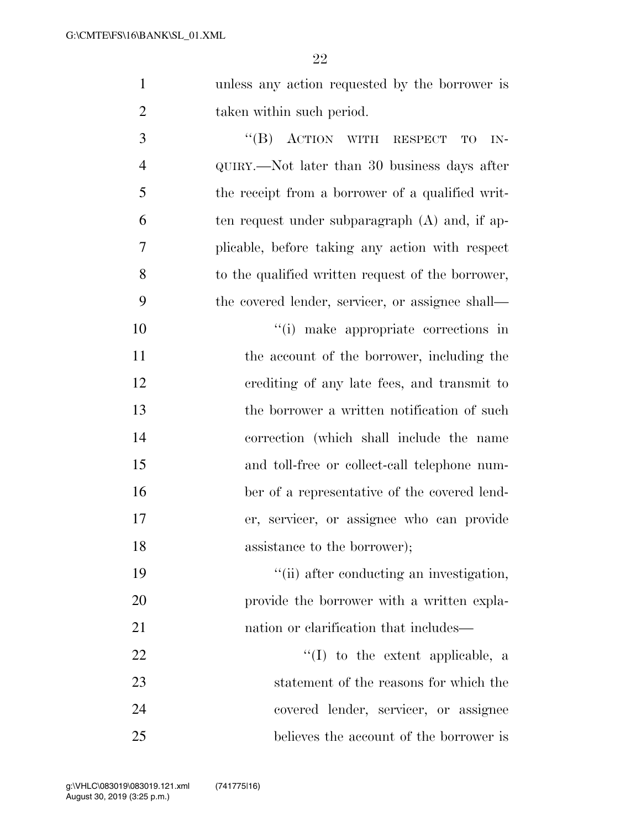| unless any action requested by the borrower is |
|------------------------------------------------|
| taken within such period.                      |

3 "(B) ACTION WITH RESPECT TO IN- QUIRY.—Not later than 30 business days after the receipt from a borrower of a qualified writ- ten request under subparagraph (A) and, if ap- plicable, before taking any action with respect to the qualified written request of the borrower, the covered lender, servicer, or assignee shall—

 $\frac{10}{10}$  make appropriate corrections in 11 the account of the borrower, including the crediting of any late fees, and transmit to the borrower a written notification of such correction (which shall include the name and toll-free or collect-call telephone num- ber of a representative of the covered lend- er, servicer, or assignee who can provide 18 assistance to the borrower);

19  $\frac{1}{10}$  after conducting an investigation, provide the borrower with a written expla-21 had nation or clarification that includes—

  $\qquad \qquad \text{(I)}$  to the extent applicable, a statement of the reasons for which the covered lender, servicer, or assignee believes the account of the borrower is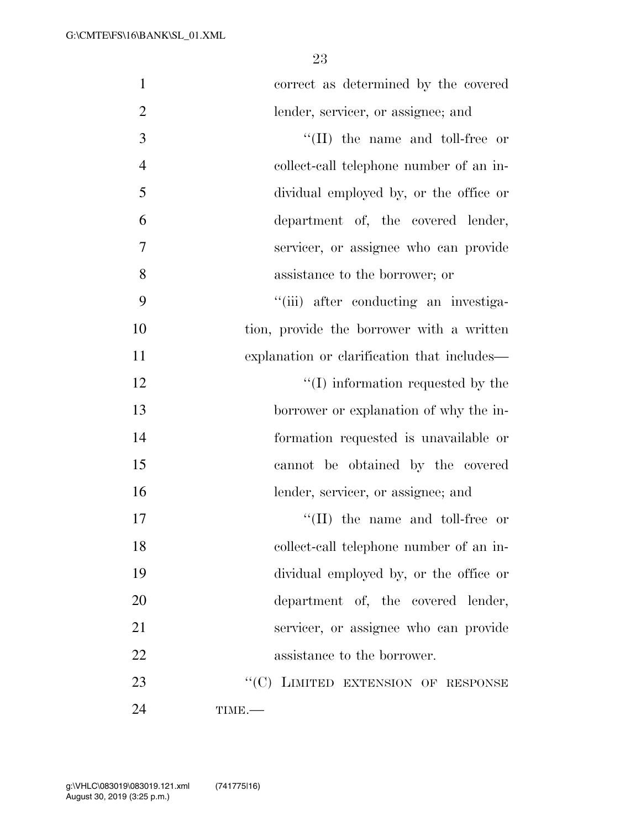| $\mathbf{1}$   | correct as determined by the covered        |
|----------------|---------------------------------------------|
| $\mathbf{2}$   | lender, servicer, or assignee; and          |
| $\mathfrak{Z}$ | $\lq\lq$ (II) the name and toll-free or     |
| $\overline{4}$ | collect-call telephone number of an in-     |
| 5              | dividual employed by, or the office or      |
| 6              | department of, the covered lender,          |
| 7              | servicer, or assignee who can provide       |
| 8              | assistance to the borrower; or              |
| 9              | "(iii) after conducting an investiga-       |
| 10             | tion, provide the borrower with a written   |
| 11             | explanation or clarification that includes— |
| 12             | $\lq\lq$ (I) information requested by the   |
| 13             | borrower or explanation of why the in-      |
| 14             | formation requested is unavailable or       |
| 15             | cannot be obtained by the covered           |
| 16             | lender, servicer, or assignee; and          |
| 17             | $\lq\lq$ (II) the name and toll-free or     |
| 18             | collect-call telephone number of an in-     |
| 19             | dividual employed by, or the office or      |
| 20             | department of, the covered lender,          |
| 21             | servicer, or assignee who can provide       |
| 22             | assistance to the borrower.                 |
| 23             | "(C) LIMITED EXTENSION OF RESPONSE          |
| 24             | TIME.-                                      |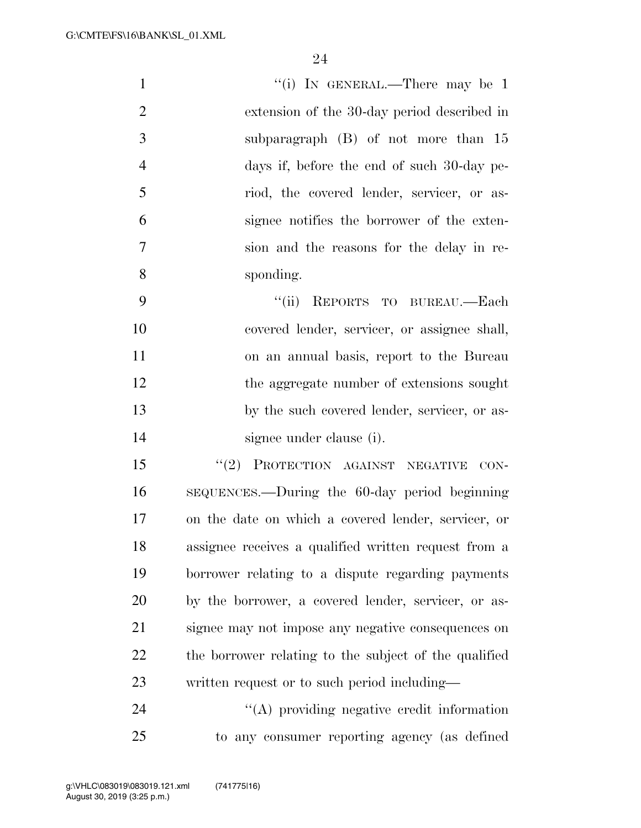| $\mathbf{1}$   | "(i) IN GENERAL.—There may be $1$            |
|----------------|----------------------------------------------|
| 2              | extension of the 30-day period described in  |
| 3              | subparagraph $(B)$ of not more than 15       |
| $\overline{4}$ | days if, before the end of such 30-day pe-   |
| 5              | riod, the covered lender, servicer, or as-   |
| 6              | signee notifies the borrower of the exten-   |
| 7              | sion and the reasons for the delay in re-    |
| 8              | sponding.                                    |
| 9              | "(ii) REPORTS TO BUREAU.—Each                |
| 10             | covered lender, servicer, or assignee shall, |
| 11             | on an annual basis, report to the Bureau     |
| 12             | the aggregate number of extensions sought    |
|                |                                              |

13 by the such covered lender, servicer, or as-signee under clause (i).

15 "(2) PROTECTION AGAINST NEGATIVE CON- SEQUENCES.—During the 60-day period beginning on the date on which a covered lender, servicer, or assignee receives a qualified written request from a borrower relating to a dispute regarding payments by the borrower, a covered lender, servicer, or as- signee may not impose any negative consequences on the borrower relating to the subject of the qualified written request or to such period including—

24 ''(A) providing negative credit information to any consumer reporting agency (as defined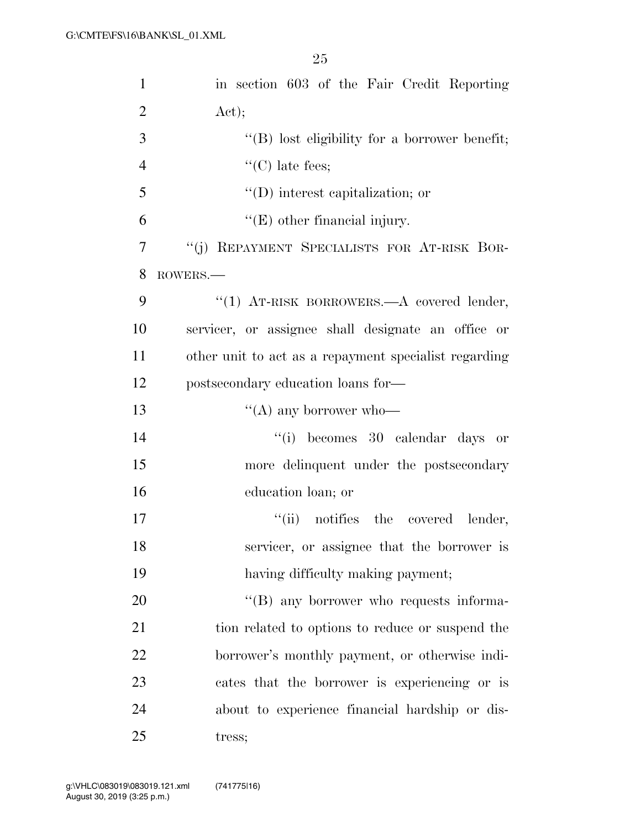| 1              | in section 603 of the Fair Credit Reporting           |
|----------------|-------------------------------------------------------|
| $\overline{2}$ | Act);                                                 |
| 3              | $\lq\lq (B)$ lost eligibility for a borrower benefit; |
| $\overline{4}$ | $\lq\lq$ (C) late fees;                               |
| 5              | $\lq\lq$ (D) interest capitalization; or              |
| 6              | $\lq\lq(E)$ other financial injury.                   |
| 7              | "(j) REPAYMENT SPECIALISTS FOR AT-RISK BOR-           |
| 8              | ROWERS.                                               |
| 9              | "(1) AT-RISK BORROWERS. A covered lender,             |
| 10             | servicer, or assignee shall designate an office or    |
| 11             | other unit to act as a repayment specialist regarding |
| 12             | postsecondary education loans for-                    |
| 13             | "(A) any borrower who-                                |
| 14             | "(i) becomes 30 calendar days or                      |
| 15             | more delinquent under the postsecondary               |
| 16             | education loan; or                                    |
| 17             | "(ii) notifies the covered lender,                    |
| 18             | servicer, or assignee that the borrower is            |
| 19             | having difficulty making payment;                     |
| 20             | "(B) any borrower who requests informa-               |
| 21             | tion related to options to reduce or suspend the      |
| 22             | borrower's monthly payment, or otherwise indi-        |
| 23             | cates that the borrower is experiencing or is         |
| 24             | about to experience financial hardship or dis-        |
| 25             | tress;                                                |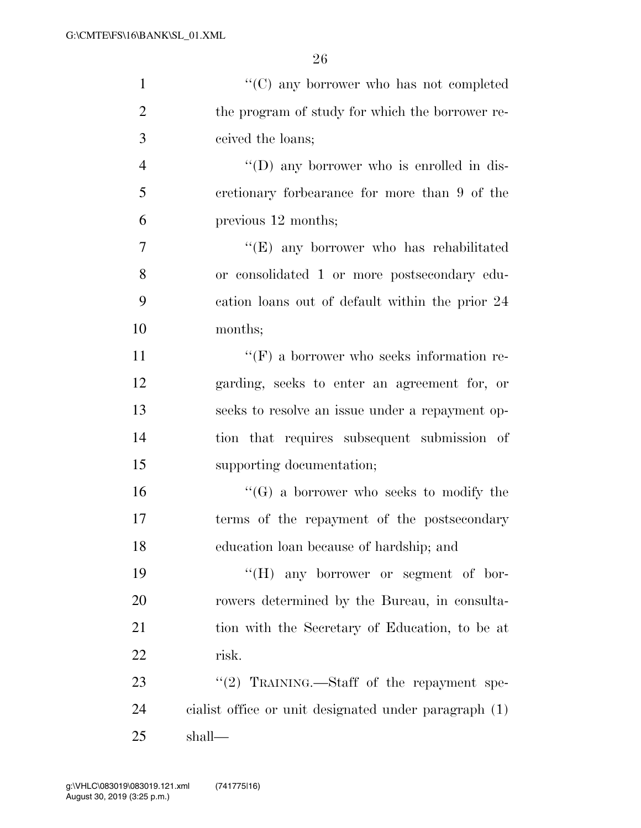| $\mathbf{1}$   | "(C) any borrower who has not completed               |
|----------------|-------------------------------------------------------|
| $\overline{2}$ | the program of study for which the borrower re-       |
| 3              | ceived the loans;                                     |
| $\overline{4}$ | $\lq\lq$ (D) any borrower who is enrolled in dis-     |
| 5              | cretionary forbearance for more than 9 of the         |
| 6              | previous 12 months;                                   |
| $\overline{7}$ | "(E) any borrower who has rehabilitated               |
| 8              | or consolidated 1 or more postsecondary edu-          |
| 9              | cation loans out of default within the prior 24       |
| 10             | months;                                               |
| 11             | $\lq\lq(F)$ a borrower who seeks information re-      |
| 12             | garding, seeks to enter an agreement for, or          |
| 13             | seeks to resolve an issue under a repayment op-       |
| 14             | tion that requires subsequent submission of           |
| 15             | supporting documentation;                             |
| 16             | $\lq\lq (G)$ a borrower who seeks to modify the       |
| 17             | terms of the repayment of the postsecondary           |
| 18             | education loan because of hardship; and               |
| 19             | $\lq\lq (H)$ any borrower or segment of bor-          |
| 20             | rowers determined by the Bureau, in consulta-         |
| 21             | tion with the Secretary of Education, to be at        |
| 22             | risk.                                                 |
| 23             | "(2) TRAINING.—Staff of the repayment spe-            |
| 24             | cialist office or unit designated under paragraph (1) |
| 25             | shall—                                                |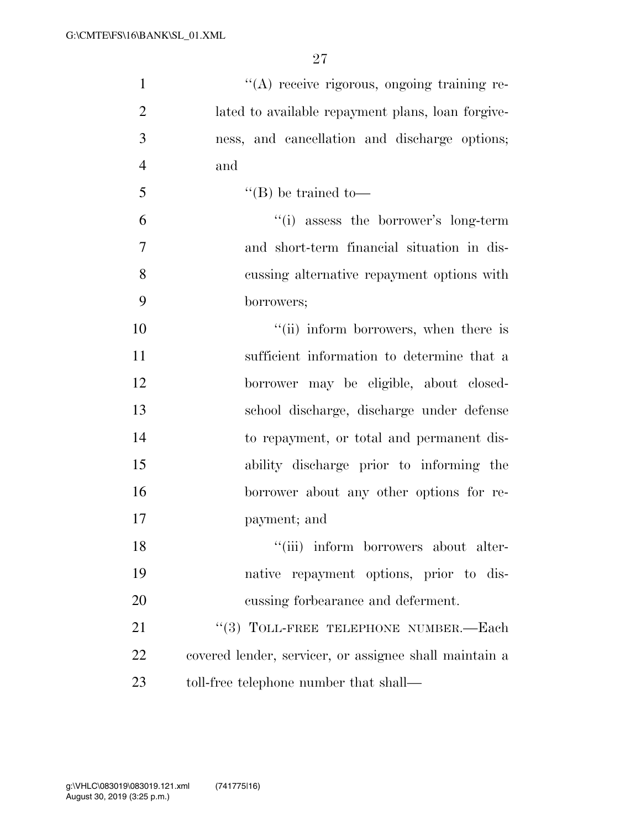| $\mathbf{1}$   | "(A) receive rigorous, ongoing training re-            |
|----------------|--------------------------------------------------------|
| $\overline{2}$ | lated to available repayment plans, loan for give-     |
| 3              | ness, and cancellation and discharge options;          |
| $\overline{4}$ | and                                                    |
| 5              | $\lq\lq$ (B) be trained to —                           |
| 6              | "(i) assess the borrower's long-term                   |
| $\overline{7}$ | and short-term financial situation in dis-             |
| 8              | cussing alternative repayment options with             |
| 9              | borrowers;                                             |
| 10             | "(ii) inform borrowers, when there is                  |
| 11             | sufficient information to determine that a             |
| 12             | borrower may be eligible, about closed-                |
| 13             | school discharge, discharge under defense              |
| 14             | to repayment, or total and permanent dis-              |
| 15             | ability discharge prior to informing the               |
| 16             | borrower about any other options for re-               |
| 17             | payment; and                                           |
| 18             | "(iii) inform borrowers about alter-                   |
| 19             | native repayment options, prior to dis-                |
| 20             | cussing forbearance and deferment.                     |
| 21             | "(3) TOLL-FREE TELEPHONE NUMBER.—Each                  |
| 22             | covered lender, servicer, or assignee shall maintain a |
| 23             | toll-free telephone number that shall—                 |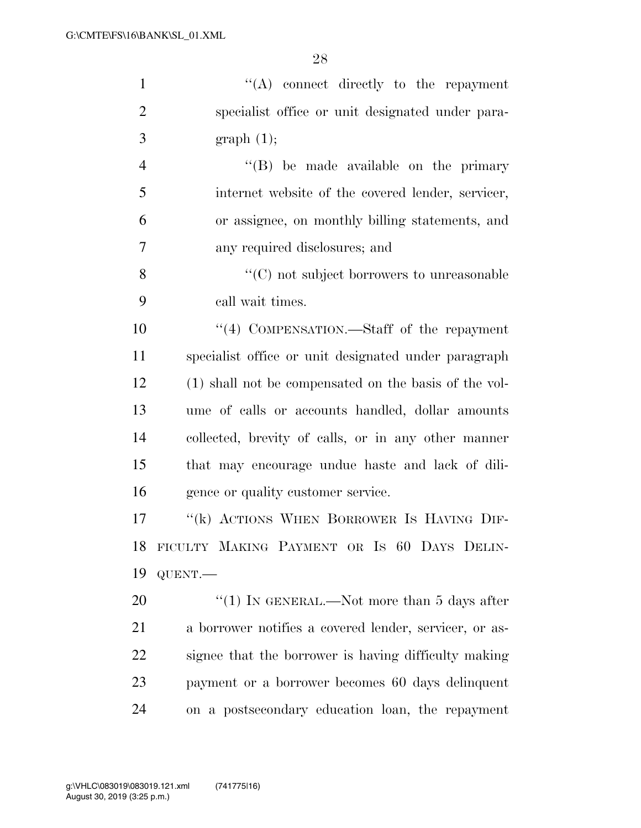''(A) connect directly to the repayment specialist office or unit designated under para- $3 \quad \text{graph} \quad (1);$  ''(B) be made available on the primary internet website of the covered lender, servicer, or assignee, on monthly billing statements, and any required disclosures; and ''(C) not subject borrowers to unreasonable call wait times. ''(4) COMPENSATION.—Staff of the repayment

 specialist office or unit designated under paragraph (1) shall not be compensated on the basis of the vol- ume of calls or accounts handled, dollar amounts collected, brevity of calls, or in any other manner that may encourage undue haste and lack of dili-gence or quality customer service.

17 "(k) ACTIONS WHEN BORROWER IS HAVING DIF- FICULTY MAKING PAYMENT OR IS 60 DAYS DELIN-QUENT.—

20 "(1) IN GENERAL.—Not more than 5 days after a borrower notifies a covered lender, servicer, or as- signee that the borrower is having difficulty making payment or a borrower becomes 60 days delinquent on a postsecondary education loan, the repayment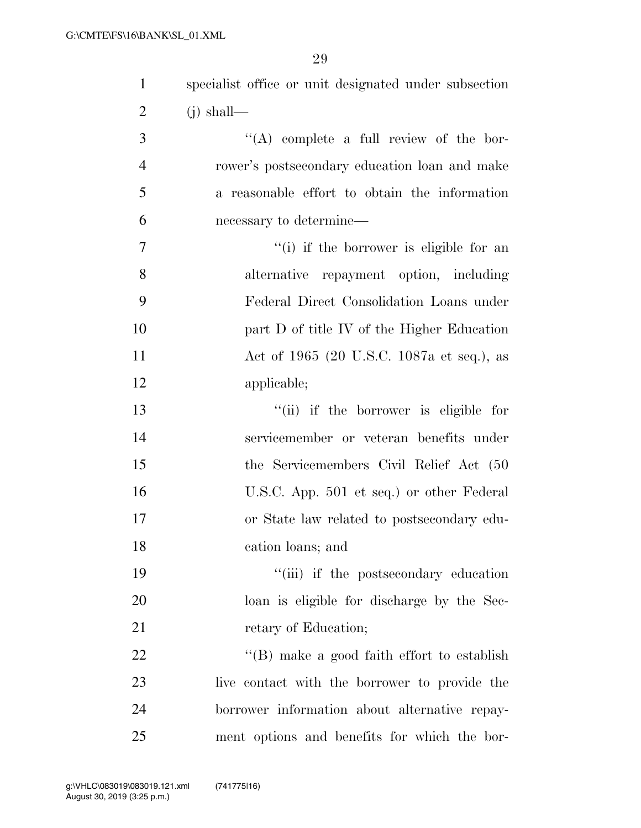| $\mathbf{1}$   | specialist office or unit designated under subsection |
|----------------|-------------------------------------------------------|
| $\overline{2}$ | $(j)$ shall—                                          |
| 3              | $\lq\lq$ complete a full review of the bor-           |
| $\overline{4}$ | rower's postsecondary education loan and make         |
| 5              | a reasonable effort to obtain the information         |
| 6              | necessary to determine—                               |
| 7              | "(i) if the borrower is eligible for an               |
| 8              | alternative repayment option, including               |
| 9              | Federal Direct Consolidation Loans under              |
| 10             | part D of title IV of the Higher Education            |
| 11             | Act of 1965 (20 U.S.C. 1087a et seq.), as             |
| 12             | applicable;                                           |
| 13             | "(ii) if the borrower is eligible for                 |
| 14             | servicemember or veteran benefits under               |
| 15             | the Servicemembers Civil Relief Act (50               |
| 16             | U.S.C. App. 501 et seq.) or other Federal             |
| 17             | or State law related to postsecondary edu-            |
| 18             | cation loans; and                                     |
| 19             | "(iii) if the postsecondary education                 |
| 20             | loan is eligible for discharge by the Sec-            |
| 21             | retary of Education;                                  |
| 22             | $\lq\lq$ (B) make a good faith effort to establish    |
| 23             | live contact with the borrower to provide the         |
| 24             | borrower information about alternative repay-         |
| 25             | ment options and benefits for which the bor-          |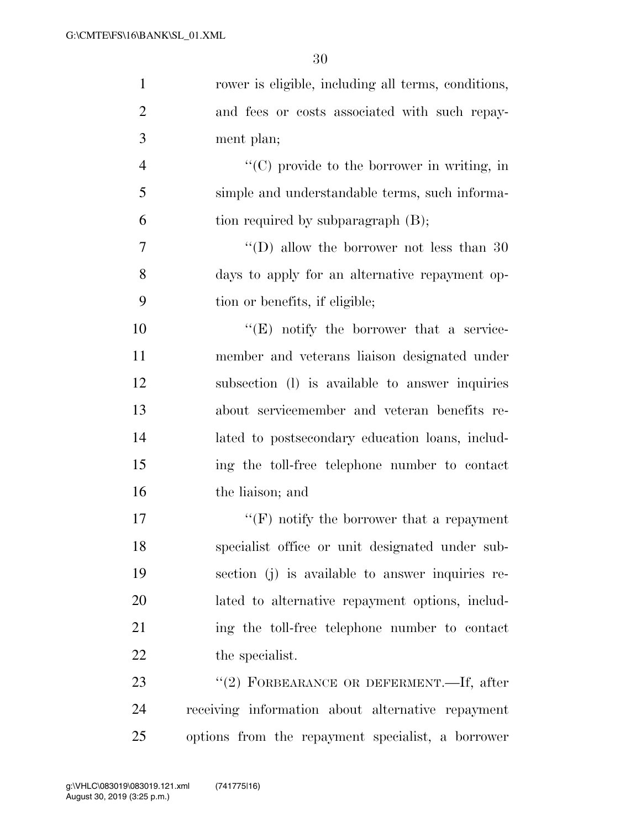| $\mathbf{1}$   | rower is eligible, including all terms, conditions,              |
|----------------|------------------------------------------------------------------|
| $\overline{2}$ | and fees or costs associated with such repay-                    |
| 3              | ment plan;                                                       |
| $\overline{4}$ | $\lq\lq$ <sup>c</sup> (C) provide to the borrower in writing, in |
| 5              | simple and understandable terms, such informa-                   |
| 6              | tion required by subparagraph (B);                               |
| 7              | "(D) allow the borrower not less than $30$                       |
| 8              | days to apply for an alternative repayment op-                   |
| 9              | tion or benefits, if eligible;                                   |
| 10             | $\lq\lq(E)$ notify the borrower that a service-                  |
| 11             | member and veterans liaison designated under                     |
| 12             | subsection (1) is available to answer inquiries                  |
| 13             | about servicemember and veteran benefits re-                     |
| 14             | lated to postsecondary education loans, includ-                  |
| 15             | ing the toll-free telephone number to contact                    |
| 16             | the liaison; and                                                 |
| 17             | $\lq\lq(F)$ notify the borrower that a repayment                 |
| 18             | specialist office or unit designated under sub-                  |
| 19             | section (j) is available to answer inquiries re-                 |
| 20             | lated to alternative repayment options, includ-                  |
| 21             | ing the toll-free telephone number to contact                    |
| 22             | the specialist.                                                  |
| 23             | "(2) FORBEARANCE OR DEFERMENT.—If, after                         |
| 24             | receiving information about alternative repayment                |
| 25             | options from the repayment specialist, a borrower                |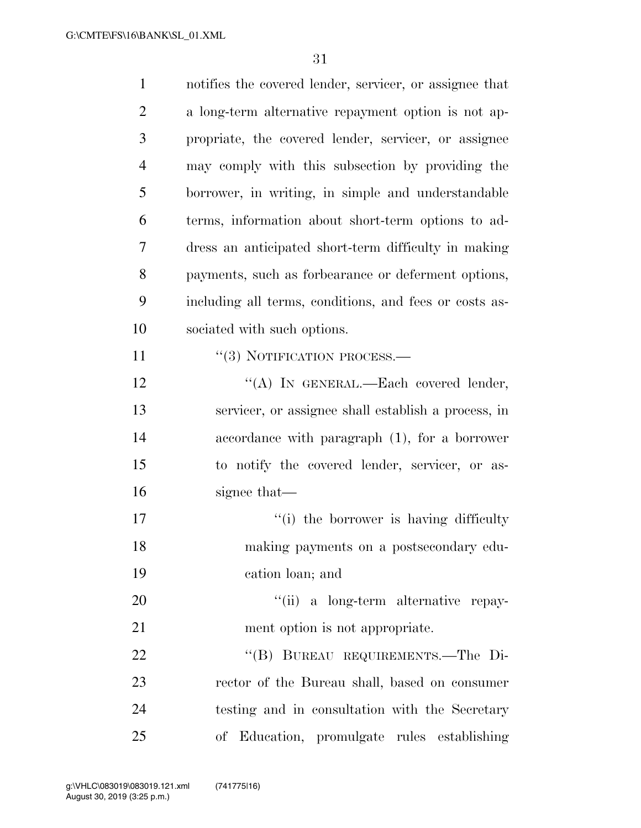| $\mathbf{1}$   | notifies the covered lender, servicer, or assignee that |
|----------------|---------------------------------------------------------|
| $\overline{2}$ | a long-term alternative repayment option is not ap-     |
| 3              | propriate, the covered lender, servicer, or assignee    |
| $\overline{4}$ | may comply with this subsection by providing the        |
| 5              | borrower, in writing, in simple and understandable      |
| 6              | terms, information about short-term options to ad-      |
| 7              | dress an anticipated short-term difficulty in making    |
| 8              | payments, such as forbearance or deferment options,     |
| 9              | including all terms, conditions, and fees or costs as-  |
| 10             | sociated with such options.                             |
| 11             | $\cdot\cdot(3)$ NOTIFICATION PROCESS.—                  |
| 12             | "(A) IN GENERAL.—Each covered lender,                   |
| 13             | servicer, or assignee shall establish a process, in     |
| 14             | accordance with paragraph $(1)$ , for a borrower        |
| 15             | to notify the covered lender, servicer, or as-          |
| 16             | signee that—                                            |
| 17             | "(i) the borrower is having difficulty                  |
| 18             | making payments on a postsecondary edu-                 |
| 19             | cation loan; and                                        |
| 20             | "(ii) a long-term alternative repay-                    |
| 21             | ment option is not appropriate.                         |
| 22             | "(B) BUREAU REQUIREMENTS.—The Di-                       |
| 23             | rector of the Bureau shall, based on consumer           |
| 24             | testing and in consultation with the Secretary          |
| 25             | of Education, promulgate rules establishing             |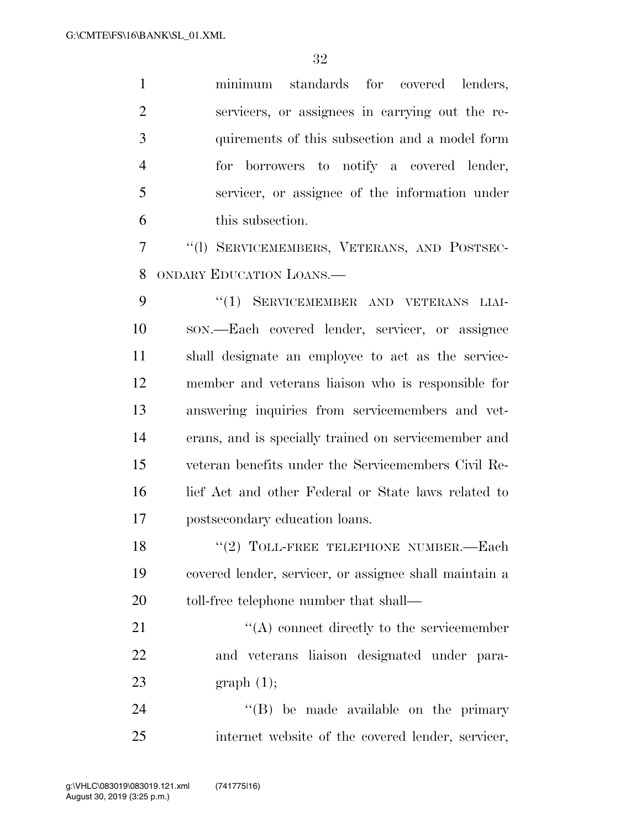minimum standards for covered lenders, servicers, or assignees in carrying out the re- quirements of this subsection and a model form for borrowers to notify a covered lender, servicer, or assignee of the information under this subsection.

 ''(l) SERVICEMEMBERS, VETERANS, AND POSTSEC-ONDARY EDUCATION LOANS.—

9 "(1) SERVICEMEMBER AND VETERANS LIAI- SON.—Each covered lender, servicer, or assignee shall designate an employee to act as the service- member and veterans liaison who is responsible for answering inquiries from servicemembers and vet- erans, and is specially trained on servicemember and veteran benefits under the Servicemembers Civil Re- lief Act and other Federal or State laws related to postsecondary education loans.

18 "(2) TOLL-FREE TELEPHONE NUMBER.—Each covered lender, servicer, or assignee shall maintain a 20 toll-free telephone number that shall—

21 ''(A) connect directly to the servicemember and veterans liaison designated under para-graph (1);

24  $\langle$  (B) be made available on the primary internet website of the covered lender, servicer,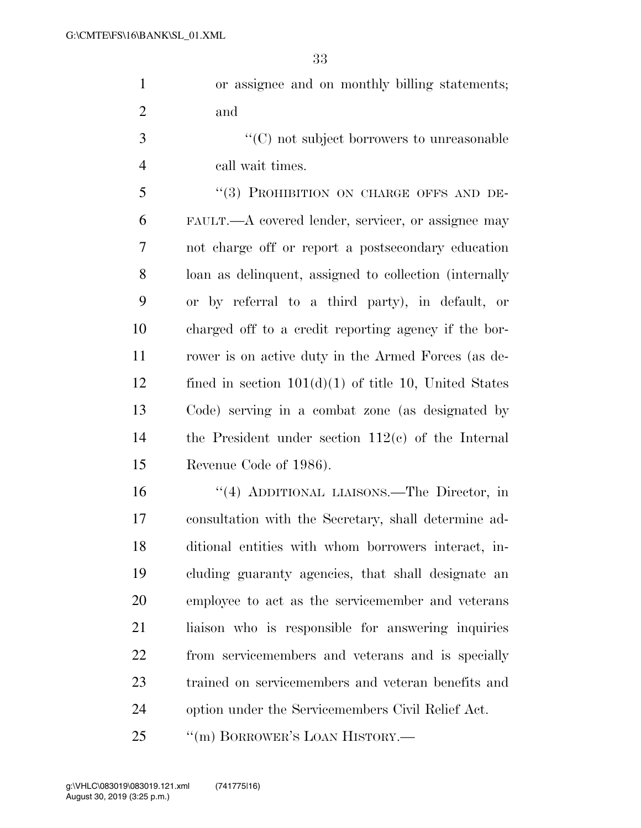| or assignee and on monthly billing statements; |
|------------------------------------------------|
| and                                            |

3  $\cdot$  (C) not subject borrowers to unreasonable call wait times.

5 "(3) PROHIBITION ON CHARGE OFFS AND DE- FAULT.—A covered lender, servicer, or assignee may not charge off or report a postsecondary education loan as delinquent, assigned to collection (internally or by referral to a third party), in default, or charged off to a credit reporting agency if the bor- rower is on active duty in the Armed Forces (as de-12 fined in section  $101(d)(1)$  of title 10, United States Code) serving in a combat zone (as designated by the President under section 112(c) of the Internal Revenue Code of 1986).

 ''(4) ADDITIONAL LIAISONS.—The Director, in consultation with the Secretary, shall determine ad- ditional entities with whom borrowers interact, in- cluding guaranty agencies, that shall designate an employee to act as the servicemember and veterans liaison who is responsible for answering inquiries from servicemembers and veterans and is specially trained on servicemembers and veteran benefits and option under the Servicemembers Civil Relief Act.

25 "(m) BORROWER'S LOAN HISTORY.—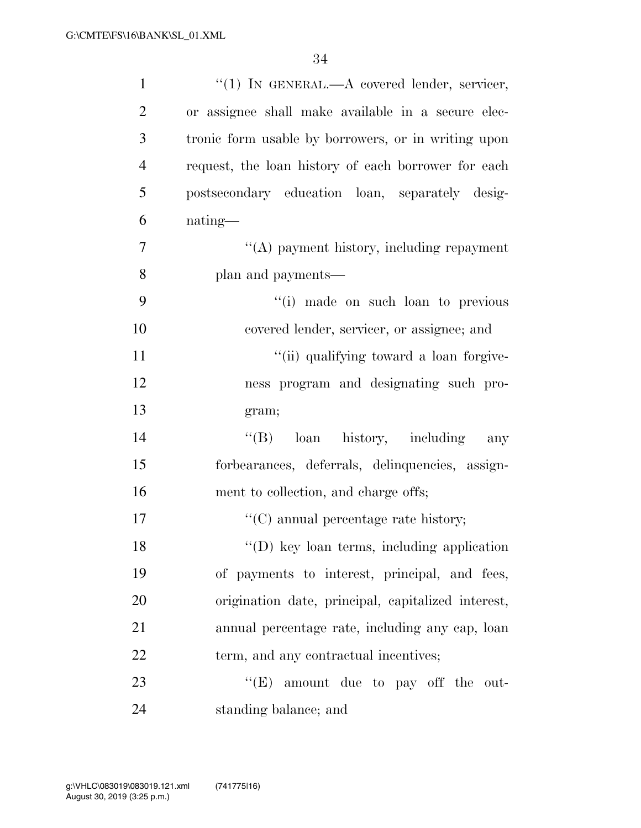| $\mathbf{1}$   | "(1) IN GENERAL.—A covered lender, servicer,        |
|----------------|-----------------------------------------------------|
| $\overline{2}$ | or assignee shall make available in a secure elec-  |
| 3              | tronic form usable by borrowers, or in writing upon |
| $\overline{4}$ | request, the loan history of each borrower for each |
| 5              | postsecondary education loan, separately desig-     |
| 6              | nating—                                             |
| $\overline{7}$ | "(A) payment history, including repayment           |
| 8              | plan and payments—                                  |
| 9              | "(i) made on such loan to previous                  |
| 10             | covered lender, servicer, or assignee; and          |
| 11             | "(ii) qualifying toward a loan forgive-             |
| 12             | ness program and designating such pro-              |
| 13             | gram;                                               |
| 14             | loan history, including<br>$\lq\lq (B)$<br>any      |
| 15             | forbearances, deferrals, delinquencies, assign-     |
| 16             | ment to collection, and charge offs;                |
| 17             | $\lq\lq$ (C) annual percentage rate history;        |
| 18             | $\lq\lq$ (D) key loan terms, including application  |
| 19             | of payments to interest, principal, and fees,       |
| 20             | origination date, principal, capitalized interest,  |
| 21             | annual percentage rate, including any cap, loan     |
| 22             | term, and any contractual incentives;               |
| 23             | " $(E)$ amount due to pay off the out-              |
| 24             | standing balance; and                               |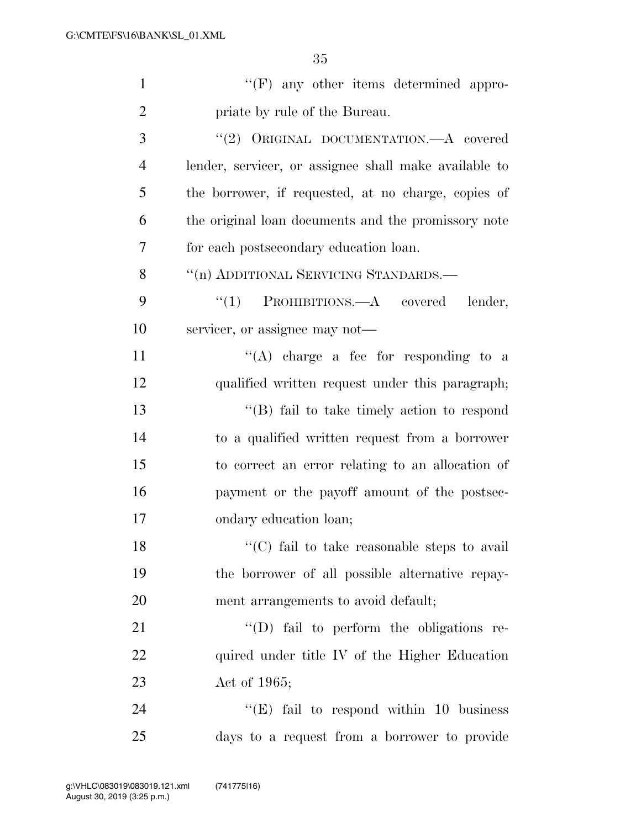| $\mathbf{1}$   | $\lq\lq(F)$ any other items determined appro-         |
|----------------|-------------------------------------------------------|
| $\overline{2}$ | priate by rule of the Bureau.                         |
| 3              | "(2) ORIGINAL DOCUMENTATION.—A covered                |
| $\overline{4}$ | lender, servicer, or assignee shall make available to |
| 5              | the borrower, if requested, at no charge, copies of   |
| 6              | the original loan documents and the promissory note   |
| 7              | for each postsecondary education loan.                |
| 8              | "(n) ADDITIONAL SERVICING STANDARDS.—                 |
| 9              | " $(1)$ PROHIBITIONS.—A covered lender,               |
| 10             | servicer, or assignee may not—                        |
| 11             | "(A) charge a fee for responding to a                 |
| 12             | qualified written request under this paragraph;       |
| 13             | $\lq\lq$ fail to take timely action to respond        |
| 14             | to a qualified written request from a borrower        |
| 15             | to correct an error relating to an allocation of      |
| 16             | payment or the payoff amount of the postsec-          |
| 17             | ondary education loan;                                |
| 18             | "(C) fail to take reasonable steps to avail"          |
| 19             | the borrower of all possible alternative repay-       |
| 20             | ment arrangements to avoid default;                   |
| 21             | "(D) fail to perform the obligations re-              |
| 22             | quired under title IV of the Higher Education         |
| 23             | Act of $1965$ ;                                       |
| 24             | " $(E)$ fail to respond within 10 business            |
| 25             | days to a request from a borrower to provide          |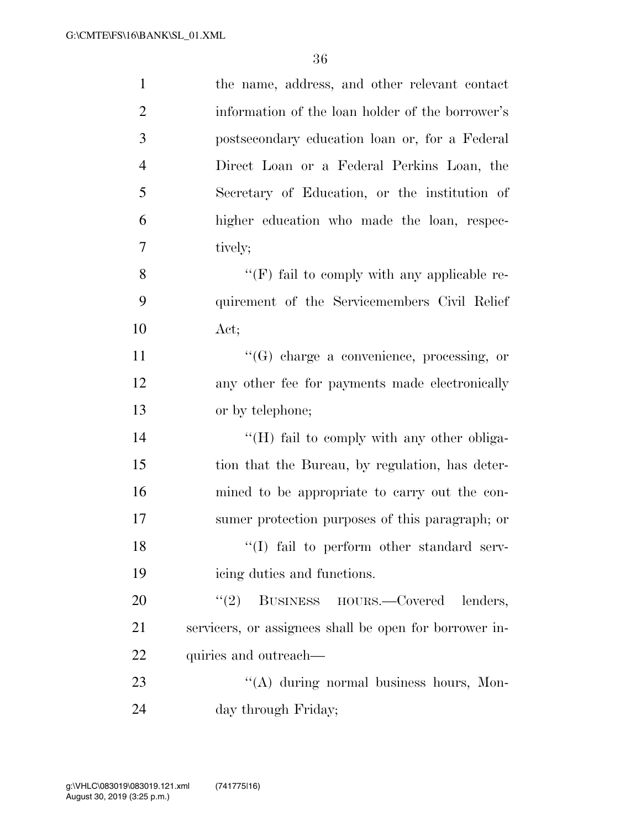| $\mathbf{1}$   | the name, address, and other relevant contact          |
|----------------|--------------------------------------------------------|
| $\overline{2}$ | information of the loan holder of the borrower's       |
| 3              | postsecondary education loan or, for a Federal         |
| $\overline{4}$ | Direct Loan or a Federal Perkins Loan, the             |
| 5              | Secretary of Education, or the institution of          |
| 6              | higher education who made the loan, respec-            |
| $\overline{7}$ | tively;                                                |
| 8              | " $(F)$ fail to comply with any applicable re-         |
| 9              | quirement of the Servicemembers Civil Relief           |
| 10             | Act;                                                   |
| 11             | $\lq\lq(G)$ charge a convenience, processing, or       |
| 12             | any other fee for payments made electronically         |
| 13             | or by telephone;                                       |
| 14             | "(H) fail to comply with any other obliga-             |
| 15             | tion that the Bureau, by regulation, has deter-        |
| 16             | mined to be appropriate to carry out the con-          |
| 17             | sumer protection purposes of this paragraph; or        |
| 18             | "(I) fail to perform other standard serv-              |
| 19             | icing duties and functions.                            |
| 20             | BUSINESS HOURS.—Covered<br>(2)<br>lenders,             |
| 21             | servicers, or assignees shall be open for borrower in- |
| 22             | quiries and outreach—                                  |
| 23             | "(A) during normal business hours, Mon-                |
| 24             | day through Friday;                                    |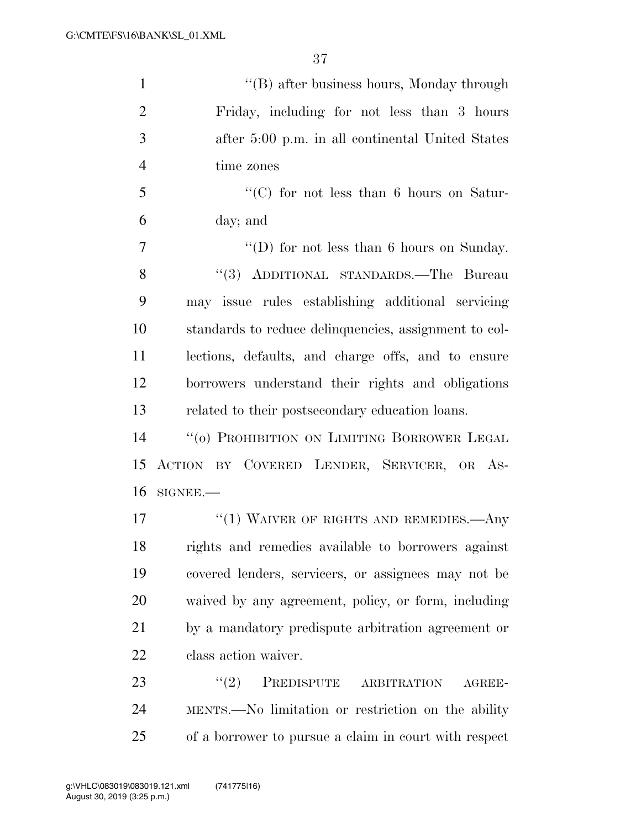''(B) after business hours, Monday through Friday, including for not less than 3 hours after 5:00 p.m. in all continental United States time zones ''(C) for not less than 6 hours on Satur- day; and 7 ''(D) for not less than 6 hours on Sunday. ''(3) ADDITIONAL STANDARDS.—The Bureau may issue rules establishing additional servicing standards to reduce delinquencies, assignment to col- lections, defaults, and charge offs, and to ensure borrowers understand their rights and obligations related to their postsecondary education loans. ''(o) PROHIBITION ON LIMITING BORROWER LEGAL ACTION BY COVERED LENDER, SERVICER, OR AS- SIGNEE.— 17 <sup>''</sup>(1) WAIVER OF RIGHTS AND REMEDIES.—Any rights and remedies available to borrowers against covered lenders, servicers, or assignees may not be waived by any agreement, policy, or form, including

 by a mandatory predispute arbitration agreement or class action waiver.

23 "(2) PREDISPUTE ARBITRATION AGREE- MENTS.—No limitation or restriction on the ability of a borrower to pursue a claim in court with respect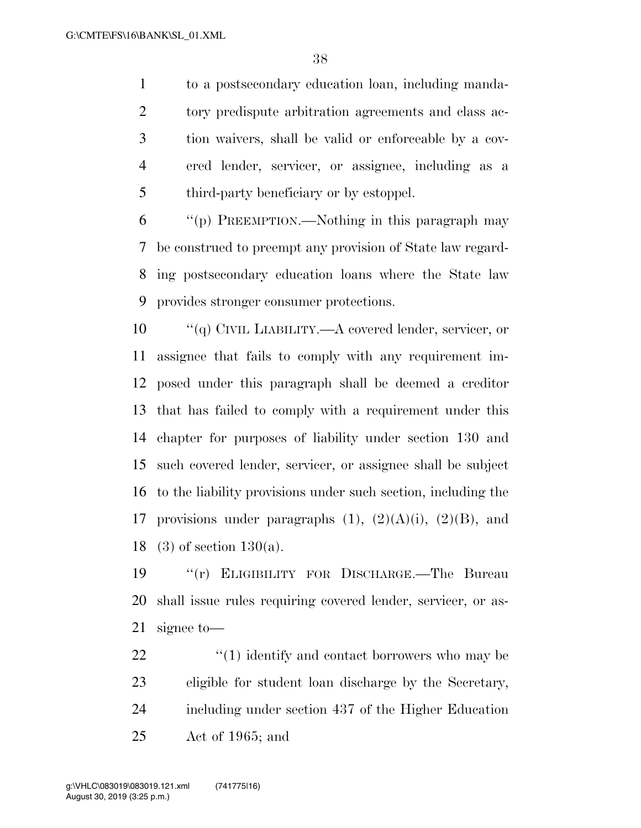to a postsecondary education loan, including manda- tory predispute arbitration agreements and class ac- tion waivers, shall be valid or enforceable by a cov- ered lender, servicer, or assignee, including as a third-party beneficiary or by estoppel.

 ''(p) PREEMPTION.—Nothing in this paragraph may be construed to preempt any provision of State law regard- ing postsecondary education loans where the State law provides stronger consumer protections.

 ''(q) CIVIL LIABILITY.—A covered lender, servicer, or assignee that fails to comply with any requirement im- posed under this paragraph shall be deemed a creditor that has failed to comply with a requirement under this chapter for purposes of liability under section 130 and such covered lender, servicer, or assignee shall be subject to the liability provisions under such section, including the 17 provisions under paragraphs  $(1)$ ,  $(2)(A)(i)$ ,  $(2)(B)$ , and 18 (3) of section 130(a).

 ''(r) ELIGIBILITY FOR DISCHARGE.—The Bureau shall issue rules requiring covered lender, servicer, or as-signee to—

 $\frac{22}{10}$  <sup>(1)</sup> identify and contact borrowers who may be eligible for student loan discharge by the Secretary, including under section 437 of the Higher Education Act of 1965; and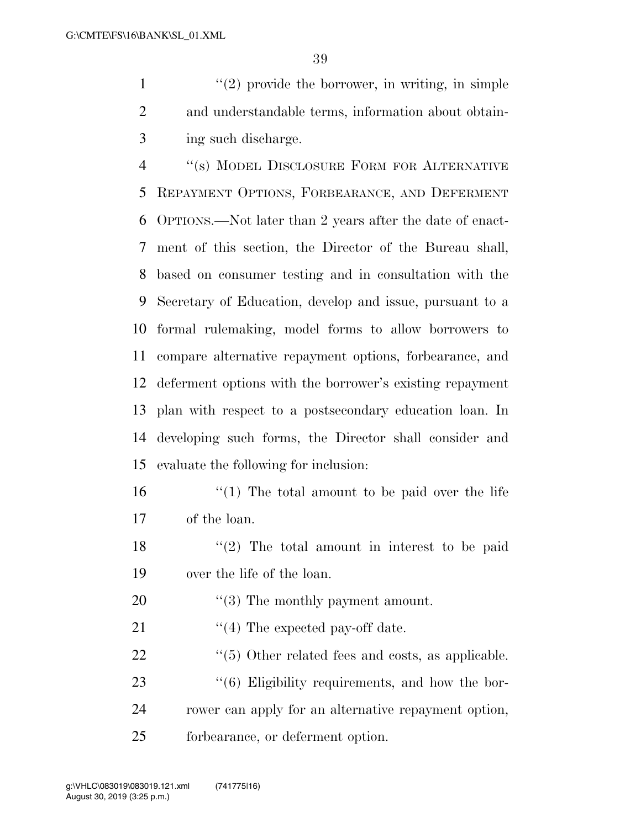1  $\frac{1}{2}$  provide the borrower, in writing, in simple and understandable terms, information about obtain-ing such discharge.

 ''(s) MODEL DISCLOSURE FORM FOR ALTERNATIVE REPAYMENT OPTIONS, FORBEARANCE, AND DEFERMENT OPTIONS.—Not later than 2 years after the date of enact- ment of this section, the Director of the Bureau shall, based on consumer testing and in consultation with the Secretary of Education, develop and issue, pursuant to a formal rulemaking, model forms to allow borrowers to compare alternative repayment options, forbearance, and deferment options with the borrower's existing repayment plan with respect to a postsecondary education loan. In developing such forms, the Director shall consider and evaluate the following for inclusion:

 ''(1) The total amount to be paid over the life of the loan.

- 18 ''(2) The total amount in interest to be paid over the life of the loan.
- 20  $\frac{1}{2}$  (3) The monthly payment amount.

21  $\frac{4}{4}$  The expected pay-off date.

- 22 ''(5) Other related fees and costs, as applicable.
- 23 "(6) Eligibility requirements, and how the bor- rower can apply for an alternative repayment option, forbearance, or deferment option.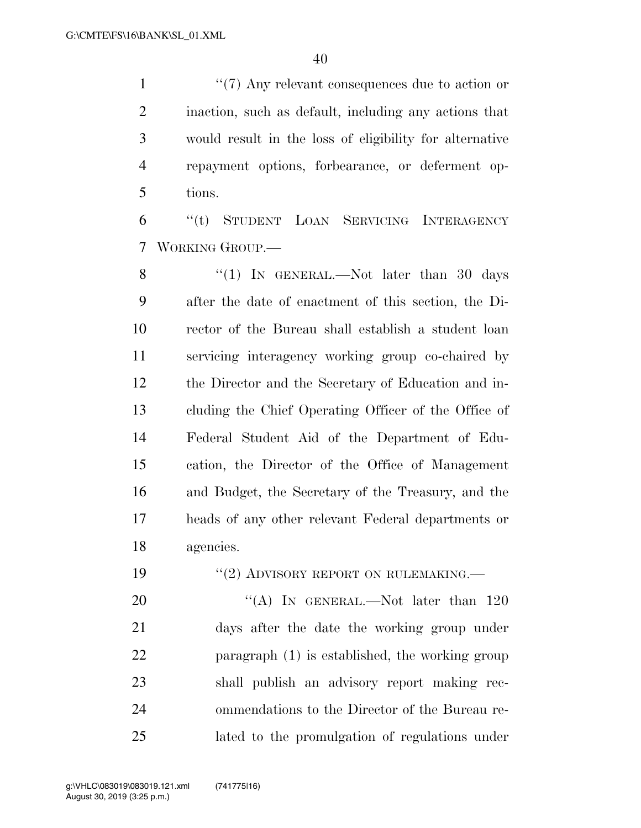$\frac{1}{2}$  (7) Any relevant consequences due to action or inaction, such as default, including any actions that would result in the loss of eligibility for alternative repayment options, forbearance, or deferment op-tions.

 ''(t) STUDENT LOAN SERVICING INTERAGENCY WORKING GROUP.—

8 "(1) IN GENERAL.—Not later than 30 days after the date of enactment of this section, the Di- rector of the Bureau shall establish a student loan servicing interagency working group co-chaired by the Director and the Secretary of Education and in- cluding the Chief Operating Officer of the Office of Federal Student Aid of the Department of Edu- cation, the Director of the Office of Management and Budget, the Secretary of the Treasury, and the heads of any other relevant Federal departments or agencies.

19 "(2) ADVISORY REPORT ON RULEMAKING.—

20 "(A) In GENERAL.—Not later than 120 days after the date the working group under paragraph (1) is established, the working group shall publish an advisory report making rec- ommendations to the Director of the Bureau re-lated to the promulgation of regulations under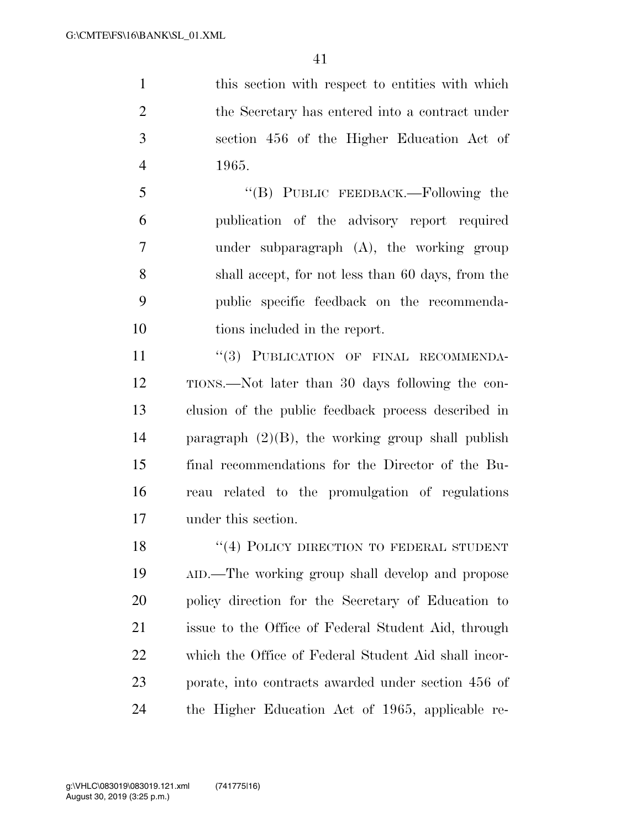1 this section with respect to entities with which the Secretary has entered into a contract under section 456 of the Higher Education Act of 1965.

 ''(B) PUBLIC FEEDBACK.—Following the publication of the advisory report required under subparagraph (A), the working group shall accept, for not less than 60 days, from the public specific feedback on the recommenda-tions included in the report.

11 "(3) PUBLICATION OF FINAL RECOMMENDA- TIONS.—Not later than 30 days following the con- clusion of the public feedback process described in paragraph (2)(B), the working group shall publish final recommendations for the Director of the Bu- reau related to the promulgation of regulations under this section.

18 "(4) POLICY DIRECTION TO FEDERAL STUDENT AID.—The working group shall develop and propose policy direction for the Secretary of Education to issue to the Office of Federal Student Aid, through which the Office of Federal Student Aid shall incor- porate, into contracts awarded under section 456 of the Higher Education Act of 1965, applicable re-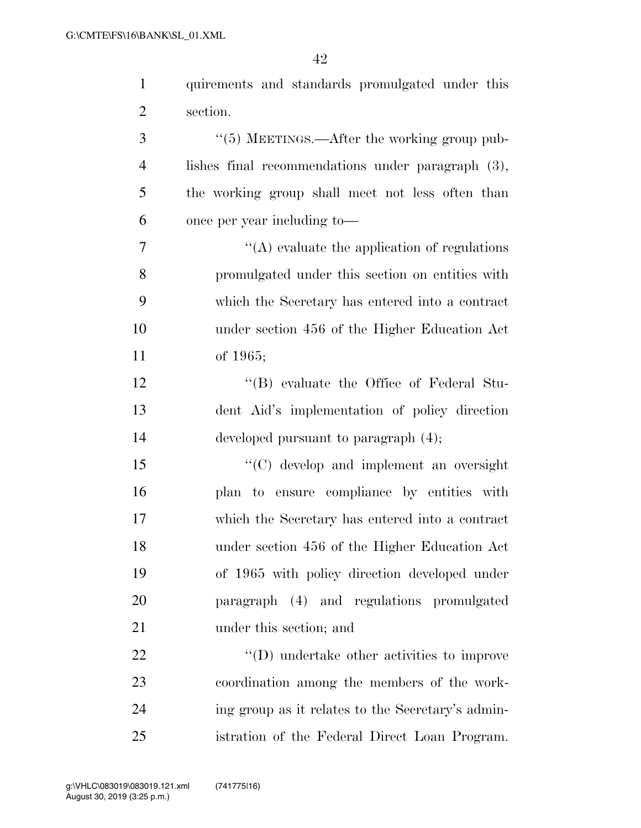| $\mathbf{1}$   | quirements and standards promulgated under this         |
|----------------|---------------------------------------------------------|
| $\overline{2}$ | section.                                                |
| 3              | $\cdot\cdot$ (5) MEETINGS.—After the working group pub- |
| $\overline{4}$ | lishes final recommendations under paragraph (3),       |
| 5              | the working group shall meet not less often than        |
| 6              | once per year including to-                             |
| 7              | $\lq\lq$ evaluate the application of regulations        |
| 8              | promulgated under this section on entities with         |
| 9              | which the Secretary has entered into a contract         |
| 10             | under section 456 of the Higher Education Act           |
| 11             | of $1965;$                                              |
| 12             | "(B) evaluate the Office of Federal Stu-                |
| 13             | dent Aid's implementation of policy direction           |
| 14             | developed pursuant to paragraph $(4)$ ;                 |
| 15             | "(C) develop and implement an oversight                 |
| 16             | plan to ensure compliance by entities with              |
| 17             | which the Secretary has entered into a contract         |
| 18             | under section 456 of the Higher Education Act           |
| 19             | of 1965 with policy direction developed under           |
| 20             | paragraph (4) and regulations promulgated               |
| 21             | under this section; and                                 |
| 22             | $\lq\lq$ ) undertake other activities to improve        |
| 23             | coordination among the members of the work-             |
| 24             | ing group as it relates to the Secretary's admin-       |
| 25             | istration of the Federal Direct Loan Program.           |